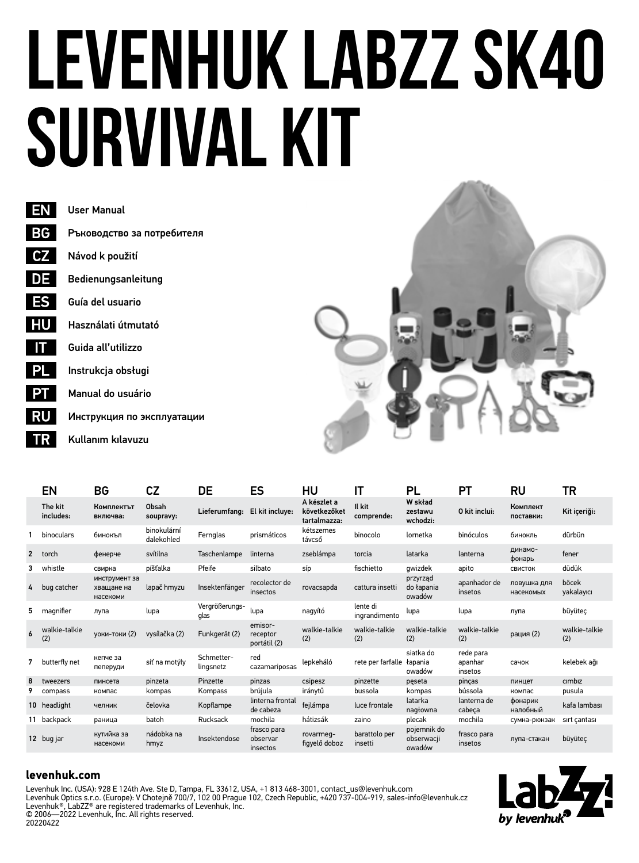# **Levenhuk LabZZ SK40 Survival Kit**



Ръководство за потребителя Guía del usuario Bedienungsanleitung Návod k použití

Használati útmutató

Guida all'utilizzo

Instrukcja obsługi

Manual do usuário

Инструкция по эксплуатации

Kullanım kılavuzu



|                | EN                   | BG                                      | СZ                        | DE                      | ES                                  | HU                                          | IΤ                        | PL                                  | РT                              | RU                       | TR                   |
|----------------|----------------------|-----------------------------------------|---------------------------|-------------------------|-------------------------------------|---------------------------------------------|---------------------------|-------------------------------------|---------------------------------|--------------------------|----------------------|
|                | The kit<br>includes: | Комплектът<br>включва:                  | Obsah<br>soupravy:        | Lieferumfang:           | El kit incluve:                     | A készlet a<br>következőket<br>tartalmazza: | Il kit<br>comprende:      | W skład<br>zestawu<br>wchodzi:      | 0 kit inclui:                   | Комплект<br>поставки:    | Kit içeriği:         |
|                | binoculars           | бинокъл                                 | binokulární<br>dalekohled | Fernglas                | prismáticos                         | kétszemes<br>távcső                         | binocolo                  | lornetka                            | binóculos                       | бинокль                  | dürbün               |
| $\overline{2}$ | torch                | фенерче                                 | svítilna                  | Taschenlampe            | linterna                            | zseblámpa                                   | torcia                    | latarka                             | lanterna                        | динамо-<br>фонарь        | fener                |
| 3              | whistle              | свирка                                  | píšťalka                  | Pfeife                  | silbato                             | síp                                         | fischietto                | awizdek                             | apito                           | СВИСТОК                  | düdük                |
| 4              | bug catcher          | инструмент за<br>хващане на<br>насекоми | lapač hmyzu               | Insektenfänger          | recolector de<br>insectos           | rovacsapda                                  | cattura insetti           | przyrząd<br>do łapania<br>owadów    | apanhador de<br>insetos         | ловушка для<br>насекомых | böcek<br>yakalayıcı  |
| 5              | magnifier            | лупа                                    | lupa                      | Vergrößerungs-<br>glas  | lupa                                | nagyító                                     | lente di<br>ingrandimento | lupa                                | lupa                            | лупа                     | büyüteç              |
| 6              | walkie-talkie<br>(2) | <b>VOKИ-ТОКИ (2)</b>                    | vysílačka (2)             | Funkgerät (2)           | emisor-<br>receptor<br>portátil (2) | walkie-talkie<br>(2)                        | walkie-talkie<br>(2)      | walkie-talkie<br>(2)                | walkie-talkie<br>(2)            | рация (2)                | walkie-talkie<br>(2) |
| 7              | butterfly net        | кепче за<br>пеперуди                    | síť na motýly             | Schmetter-<br>lingsnetz | red<br>cazamariposas                | lenkeháló                                   | rete per farfalle         | siatka do<br>łapania<br>owadów      | rede para<br>apanhar<br>insetos | сачок                    | kelebek ağı          |
| 8              | tweezers             | пинсета                                 | pinzeta                   | Pinzette                | pinzas                              | csipesz                                     | pinzette                  | peseta                              | pincas                          | пинцет                   | cimbiz               |
| 9              | compass              | компас                                  | kompas                    | Kompass                 | brúiula                             | iránytű                                     | bussola                   | kompas                              | bússola                         | компас                   | pusula               |
|                | 10 headlight         | челник                                  | čelovka                   | Kopflampe               | linterna frontal<br>de cabeza       | fejlámpa                                    | luce frontale             | latarka<br>nagłowna                 | lanterna de<br>cabeca           | фонарик<br>налобный      | kafa lambası         |
|                | 11 backpack          | раница                                  | batoh                     | Rucksack                | mochila                             | hátizsák                                    | zaino                     | plecak                              | mochila                         | сумка-рюкзак             | sirt cantasi         |
|                | 12 bug jar           | кутийка за<br>насекоми                  | nádobka na<br>hmyz        | Insektendose            | frasco para<br>observar<br>insectos | rovarmeg-<br>figyelő doboz                  | barattolo per<br>insetti  | pojemnik do<br>obserwacii<br>owadów | frasco para<br>insetos          | лупа-стакан              | büyüteç              |

### **levenhuk.com**

Levenhuk Inc. (USA): 928 E 124th Ave. Ste D, Tampa, FL 33612, USA, +1 813 468-3001, contact\_us@levenhuk.com<br>Levenhuk Optics s.r.o. (Europe): V Chotejně 700/7, 102 00 Prague 102, Czech Republic, +420 737-004-919, sales-info Levenhuk®, LabZZ® are registered trademarks of Levenhuk, Inc. © 2006—2022 Levenhuk, Inc. All rights reserved. 20220422

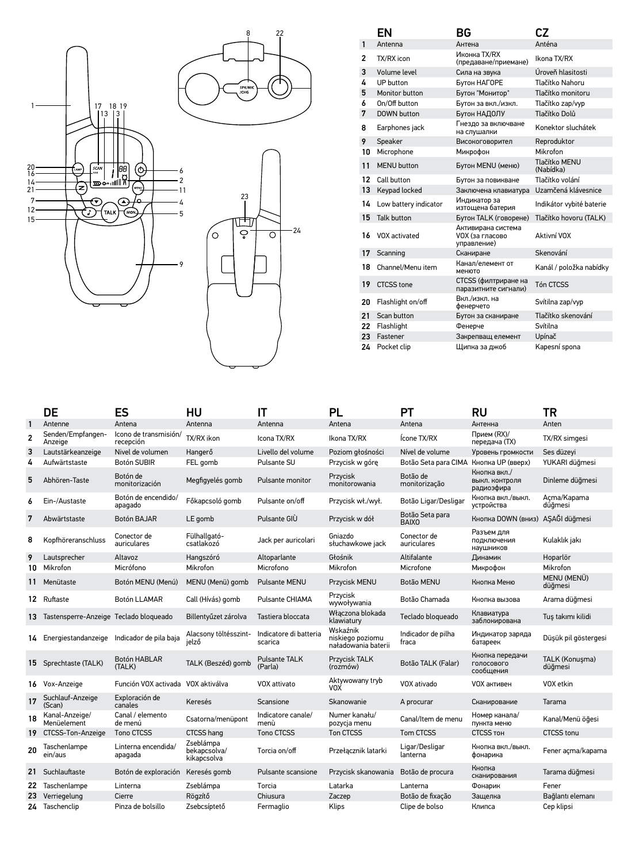

|    | ΕN                    | ВG                                                          | CZ                         |
|----|-----------------------|-------------------------------------------------------------|----------------------------|
| 1  | Antenna               | Антена                                                      | Anténa                     |
| 2  | TX/RX icon            | Иконка TX/RX<br>(предаване/приемане)                        | Ikona TX/RX                |
| 3  | Volume level          | Сила на звука                                               | Úroveň hlasitosti          |
| 4  | UP button             | Бутон НАГОРЕ                                                | Tlačítko Nahoru            |
| 5  | Monitor button        | Бутон "Монитор"                                             | Tlačítko monitoru          |
| 6  | On/Off button         | Бутон за вкл./изкл.                                         | Tlačítko zap/vyp           |
| 7  | DOWN button           | Бутон НАДОЛУ                                                | Tlačítko Dolů              |
| 8  | Earphones jack        | Гнездо за включване<br>на слушалки                          | Konektor sluchátek         |
| 9  | Speaker               | Високоговорител                                             | Reproduktor                |
| 10 | Microphone            | Микрофон                                                    | Mikrofon                   |
| 11 | <b>MFNU</b> button    | Бутон MENU (меню)                                           | Tlačítko MFNU<br>(Nabídka) |
| 12 | Call button           | Бутон за повикване                                          | Tlačítko volání            |
| 13 | Keypad locked         | Заключена клавиатура                                        | Uzamčená klávesnice        |
| 14 | Low battery indicator | Индикатор за<br>изтощена батерия                            | Indikátor vybité baterie   |
| 15 | Talk button           | Бутон TALK (говорене)                                       | Tlačítko hovoru (TALK)     |
| 16 | VOX activated         | Активирана система<br><b>VOX (за гласово</b><br>управление) | Aktivní VOX                |
| 17 | Scanning              | Сканиране                                                   | Skenování                  |
| 18 | Channel/Menu item     | Канал/елемент от<br>менюто                                  | Kanál / položka nabídky    |
| 19 | CTCSS tone            | CTCSS (филтриране на<br>паразитните сигнали)                | Tón CTCSS                  |
| 20 | Flashlight on/off     | Вкл./изкл. на<br>фенерчето                                  | Svítilna zap/vyp           |
| 21 | Scan button           | Бутон за сканиране                                          | Tlačítko skenování         |
| 22 | Flashlight            | Фенерче                                                     | Svítilna                   |
| 23 | Fastener              | Закрепващ елемент                                           | Upínač                     |
| 24 | Pocket clip           | Шипка за джоб                                               | Kapesní spona              |

|    | DE                                        | ES                                 | нu                                       | IΤ                                | PL                                                  | PТ                              | RU                                           | TR                        |
|----|-------------------------------------------|------------------------------------|------------------------------------------|-----------------------------------|-----------------------------------------------------|---------------------------------|----------------------------------------------|---------------------------|
|    | Antenne                                   | Antena                             | Antenna                                  | Antenna                           | Antena                                              | Antena                          | Антенна                                      | Anten                     |
| 2  | Senden/Empfangen-<br>Anzeige              | Icono de transmisión/<br>recepción | TX/RX ikon                               | Icona TX/RX                       | Ikona TX/RX                                         | Ícone TX/RX                     | Прием (RX)/<br>передача (ТХ)                 | TX/RX simgesi             |
| 3  | Lautstärkeanzeige                         | Nivel de volumen                   | Hangerő                                  | Livello del volume                | Poziom głośności                                    | Nível de volume                 | Уровень громкости                            | Ses düzevi                |
| 4  | Aufwärtstaste                             | <b>Botón SUBIR</b>                 | FEL gomb                                 | Pulsante SU                       | Przycisk w górę                                     | Botão Seta para CIMA            | Кнопка UP (вверх)                            | YUKARI düğmesi            |
| 5  | Abhören-Taste                             | Botón de<br>monitorización         | Megfigyelés gomb                         | Pulsante monitor                  | Przycisk<br>monitorowania                           | Botão de<br>monitorização       | Кнопка вкл./<br>выкл. контроля<br>радиоэфира | Dinleme düğmesi           |
| 6  | Ein-/Austaste                             | Botón de encendido/<br>apagado     | Főkapcsoló gomb                          | Pulsante on/off                   | Przycisk wł./wvł.                                   | Botão Ligar/Desligar            | Кнопка вкл./выкл.<br>устройства              | Açma/Kapama<br>düğmesi    |
| 7  | Abwärtstaste                              | Botón BAJAR                        | LE gomb                                  | Pulsante GIÙ                      | Przycisk w dół                                      | Botão Seta para<br><b>BAIXO</b> | Кнопка DOWN (вниз)                           | AŞAĞI düğmesi             |
| 8  | Kopfhöreranschluss                        | Conector de<br>auriculares         | Fülhallgató-<br>csatlakozó               | Jack per auricolari               | Gniazdo<br>słuchawkowe jack                         | Conector de<br>auriculares      | Разъем для<br>подключения<br>наушников       | Kulaklık jakı             |
| 9  | Lautsprecher                              | Altavoz                            | Hangszóró                                | Altoparlante                      | Głośnik                                             | Altifalante                     | Динамик                                      | Hoparlör                  |
| 10 | Mikrofon                                  | Micrófono                          | Mikrofon                                 | Microfono                         | Mikrofon                                            | Microfone                       | Микрофон                                     | Mikrofon                  |
| 11 | Menütaste                                 | Botón MENU (Menú)                  | MENU (Menü) gomb                         | Pulsante MENU                     | Przycisk MENU                                       | Botão MENU                      | Кнопка Меню                                  | MENU (MENÜ)<br>düğmesi    |
|    | 12 Ruftaste                               | Botón LLAMAR                       | Call (Hívás) gomb                        | Pulsante CHIAMA                   | Przycisk<br>wywoływania                             | Botão Chamada                   | Кнопка вызова                                | Arama düğmesi             |
|    | 13 Tastensperre-Anzeige Teclado bloqueado |                                    | Billentvűzet zárolva                     | Tastiera bloccata                 | Właczona blokada<br>klawiatury                      | Teclado bloqueado               | Клавиатура<br>заблокирована                  | Tuş takımı kilidi         |
|    | 14 Energiestandanzeige                    | Indicador de pila baja             | Alacsonv töltésszint-<br>ielző           | Indicatore di batteria<br>scarica | Wskaźnik<br>niskiego poziomu<br>naładowania baterii | Indicador de pilha<br>fraca     | Индикатор заряда<br>батареек                 | Düşük pil göstergesi      |
|    | 15 Sprechtaste (TALK)                     | Botón HABLAR<br>(TALK)             | TALK (Beszéd) gomb                       | Pulsante TALK<br>(Parla)          | Przycisk TALK<br>(rozmów)                           | Botão TALK (Falar)              | Кнопка передачи<br>ГОЛОСОВОГО<br>сообщения   | TALK (Konuşma)<br>düğmesi |
|    | 16 Vox-Anzeige                            | Función VOX activada VOX aktiválva |                                          | VOX attivato                      | Aktywowany tryb<br>vox                              | VOX ativado                     | VOX активен                                  | VOX etkin                 |
| 17 | Suchlauf-Anzeige<br>(Scan)                | Exploración de<br>canales          | Keresés                                  | Scansione                         | Skanowanie                                          | A procurar                      | Сканирование                                 | Tarama                    |
| 18 | Kanal-Anzeige/<br>Menüelement             | Canal / elemento<br>de menú        | Csatorna/menüpont                        | Indicatore canale/<br>menù        | Numer kanału/<br>pozycja menu                       | Canal/Item de menu              | Номер канала/<br>пункта меню                 | Kanal/Menü öğesi          |
|    | 19 CTCSS-Ton-Anzeige                      | Tono CTCSS                         | CTCSS hang                               | Tono CTCSS                        | Ton CTCSS                                           | Tom CTCSS                       | CTCSS TOH                                    | CTCSS tonu                |
| 20 | Taschenlampe<br>ein/aus                   | Linterna encendida/<br>apagada     | Zseblámpa<br>bekapcsolva/<br>kikapcsolva | Torcia on/off                     | Przełącznik latarki                                 | Ligar/Desligar<br>lanterna      | Кнопка вкл./выкл.<br>фонарика                | Fener açma/kapama         |
|    | 21 Suchlauftaste                          | Botón de exploración               | Keresés gomb                             | Pulsante scansione                | Przycisk skanowania                                 | Botão de procura                | Кнопка<br>сканирования                       | Tarama düğmesi            |
|    | 22 Taschenlampe                           | Linterna                           | Zseblámpa                                | Torcia                            | Latarka                                             | Lanterna                        | Фонарик                                      | Fener                     |
| 23 | Verriegelung                              | Cierre                             | Rögzítő                                  | Chiusura                          | Zaczep                                              | Botão de fixação                | Защелка                                      | Bağlantı elemanı          |
|    | 24 Taschenclip                            | Pinza de bolsillo                  | Zsebcsíptető                             | Fermaglio                         | Klips                                               | Clipe de bolso                  | Клипса                                       | Cep klipsi                |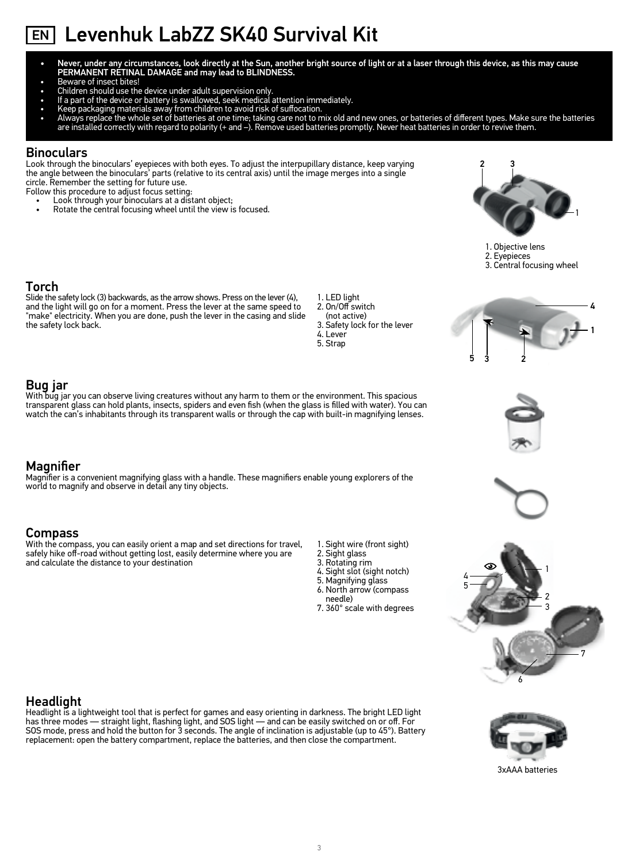# EN Levenhuk LabZZ SK40 Survival Kit

- Never, under any circumstances, look directly at the Sun, another bright source of light or at a laser through this device, as this may cause PERMANENT RETINAL DAMAGE and may lead to BLINDNESS.
- Beware of insect bites!
- Children should use the device under adult supervision only.
- 
- 
- If a part of the device or battery is swallowed, seek medical attention immediately.<br>• Reep packaging materials away from children to avoid risk of suffocation.<br>• Always replace the whole set of batteries at one time; ta are installed correctly with regard to polarity (+ and –). Remove used batteries promptly. Never heat batteries in order to revive them.

### Binoculars

Look through the binoculars' eyepieces with both eyes. To adjust the interpupillary distance, keep varying the angle between the binoculars' parts (relative to its central axis) until the image merges into a single circle. Remember the setting for future use.

Follow this procedure to adjust focus setting:

- Look through your binoculars at a distant object;
- Rotate the central focusing wheel until the view is focused.



### Torch

Slide the safety lock (3) backwards, as the arrow shows. Press on the lever (4), and the light will go on for a moment. Press the lever at the same speed to "make" electricity. When you are done, push the lever in the casing and slide the safety lock back.

- 1. LED light 2. On/Off switch
	- (not active)
	- 3. Safety lock for the lever
	- 4. Lever 5. Strap
		-

### Bug jar

With bug jar you can observe living creatures without any harm to them or the environment. This spacious transparent glass can hold plants, insects, spiders and even fish (when the glass is filled with water). You can watch the can's inhabitants through its transparent walls or through the cap with built-in magnifying lenses.

### **Magnifier**

Magnifier is a convenient magnifying glass with a handle. These magnifiers enable young explorers of the world to magnify and observe in detail any tiny objects.

### Compass

With the compass, you can easily orient a map and set directions for travel, safely hike off-road without getting lost, easily determine where you are and calculate the distance to your destination

- 1. Sight wire (front sight)
- 2. Sight glass
- 3. Rotating rim
- 4. Sight slot (sight notch)
- 5. Magnifying glass
- 6. North arrow (compass needle)
- 7. 360° scale with degrees



6

3xAAA batteries



Headlight is a lightweight tool that is perfect for games and easy orienting in darkness. The bright LED light has three modes — straight light, flashing light, and SOS light — and can be easily switched on or off. For SOS mode, press and hold the button for 3 seconds. The angle of inclination is adjustable (up to 45°). Battery replacement: open the battery compartment, replace the batteries, and then close the compartment.





5 3 2

1

7

4





4

5

2

3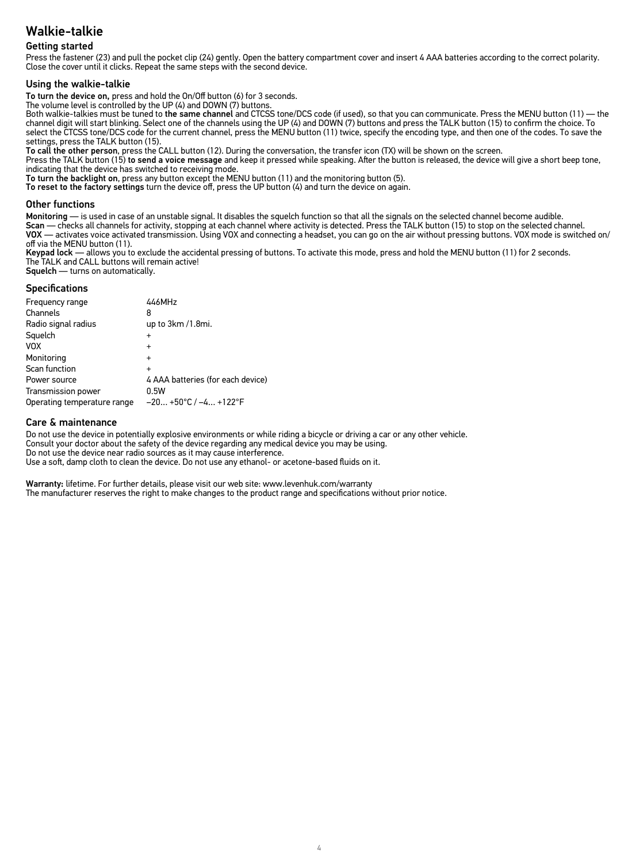### Getting started

Press the fastener (23) and pull the pocket clip (24) gently. Open the battery compartment cover and insert 4 AAA batteries according to the correct polarity. Close the cover until it clicks. Repeat the same steps with the second device.

### Using the walkie-talkie

To turn the device on, press and hold the On/Off button (6) for 3 seconds.

The volume level is controlled by the UP (4) and DOWN (7) buttons.

Both walkie-talkies must be tuned to the same channel and CTCSS tone/DCS code (if used), so that you can communicate. Press the MENU button (11) — the channel digit will start blinking. Select one of the channels using the UP (4) and DOWN (7) buttons and press the TALK button (15) to confirm the choice. To select the CTCSS tone/DCS code for the current channel, press the MENU button (11) twice, specify the encoding type, and then one of the codes. To save the settings, press the TALK button (15).

To call the other person, press the CALL button (12). During the conversation, the transfer icon (TX) will be shown on the screen.

Press the TALK button (15) to send a voice message and keep it pressed while speaking. After the button is released, the device will give a short beep tone, indicating that the device has switched to receiving mode.

To turn the backlight on, press any button except the MENU button (11) and the monitoring button (5).

To reset to the factory settings turn the device off, press the UP button (4) and turn the device on again.

### Other functions

Monitoring — is used in case of an unstable signal. It disables the squelch function so that all the signals on the selected channel become audible.<br>Scan — checks all channels for activity, stopping at each channel where a

off via the MENU button (11).

Keypad lock — allows you to exclude the accidental pressing of buttons. To activate this mode, press and hold the MENU button (11) for 2 seconds. The TALK and CALL buttons will remain active! Squelch — turns on automatically.

### Specifications

| <b>Specifications</b>       |                                   |
|-----------------------------|-----------------------------------|
| Frequency range             | 446MHz                            |
| Channels                    | 8                                 |
| Radio signal radius         | up to 3km /1.8mi.                 |
| Squelch                     | $\ddot{}$                         |
| <b>VOX</b>                  | $\ddot{}$                         |
| Monitoring                  | $\ddot{}$                         |
| Scan function               | $\ddot{}$                         |
| Power source                | 4 AAA batteries (for each device) |
| <b>Transmission power</b>   | 0.5W                              |
| Operating temperature range | $-20 +50°C$ / $-4 +122°F$         |

### Care & maintenance

Do not use the device in potentially explosive environments or while riding a bicycle or driving a car or any other vehicle. Consult your doctor about the safety of the device regarding any medical device you may be using. Do not use the device near radio sources as it may cause interference. Use a soft, damp cloth to clean the device. Do not use any ethanol- or acetone-based fluids on it.

Warranty: lifetime. For further details, please visit our web site: www.levenhuk.com/warranty The manufacturer reserves the right to make changes to the product range and specifications without prior notice.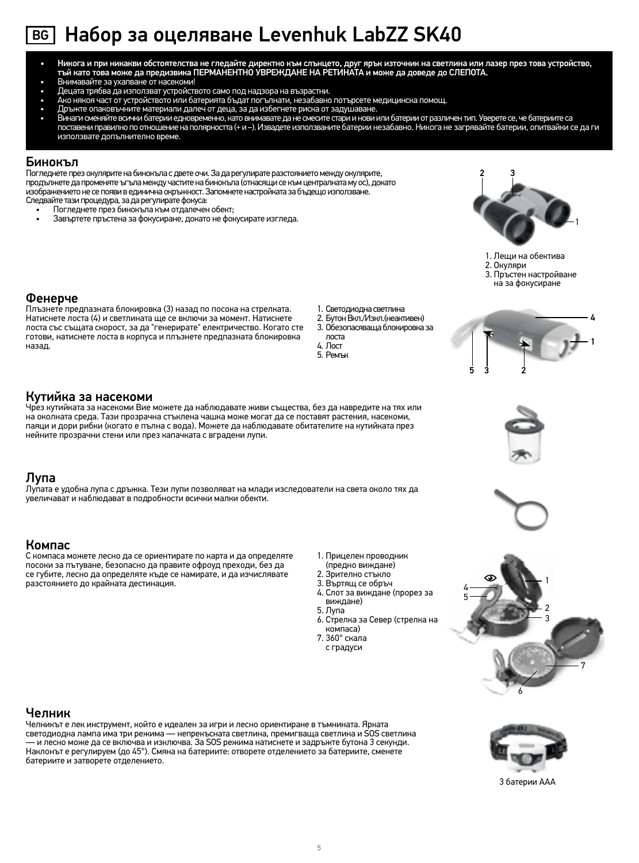# $\overline{\text{BG}}$  Haбор за оцеляване Levenhuk LabZZ SK40

- никога и при никакви обстоятелства не гледайте директно към слънцето, друг ярък източник на светлина или лазер през това устройство, тъй като това може да предизвика ПЕРМАНЕНТНО УВРЕЖДАНЕ НА РЕТИНАТА и може да оСЛЕПОТА.
- Внимавайте за ухапване от насекоми!
- Децата трябва да използват устройството само под надзора на възрастни.
- Ако някоя част от устройството или батерията бъдат погълнати, незабавно потърсете медицинска помощ.
- Дръжте опаковъчните материали далеч от деца, за да избегнете риска от задушаване.
- Винаги сменяйте всички батерии едновременно, като внимавате да не смесите стари и нови или батерии от различен тип. Уверете се, че батериите са поставени правилно по отношение на полярността (+ и –). Извадете използваните батерии незабавно. Никога не загрявайте батерии, опитвайки се да ги използвате допълнително време.

### Бинокъл

Погледнете през окулярите на бинокъла с двете очи. За да регулирате разстоянието между окулярите, продължете да променяте ъгъла между частите на бинокъла (отнасящи се към централната му ос), докато изображението не се появи в единична окръжност. Запомнете настройката за бъдещо използване. Следвайте тази процедура, за да регулирате фокуса:

- Погледнете през бинокъла към отдалечен обект;
- Завъртете пръстена за фокусиране, докато не фокусирате изгледа. 1



- 1. Лещи на обектива
- 2. Окуляри

5 3 2

3. Пръстен настройване

### Фенерче

Плъзнете предпазната блокировка (3) назад по посока на стрелката. Натиснете лоста (4) и светлината ще се включи за момент. Натиснете лоста със същата скорост, за да "генерирате" електричество. Когато сте готови, натиснете лоста в корпуса и плъзнете предпазната блокировка назад.

- 1. Светодиодна светлина
- 2. Бутон Вкл./Изкл.(неактивен)
- 3. Обезопасяваща блокировка за
- лоста 4. Лост
- 5. Ремък



### Кутийка за насекоми

Чрез кутийката за насекоми Вие можете да наблюдавате живи същества, без да навредите на тях или на околната среда. Тази прозрачна стъклена чашка може могат да се поставят растения, насекоми, паяци и дори рибки (когато е пълна с вода). Можете да наблюдавате обитателите на кутийката през нейните прозрачни стени или през капачката с вградени лупи.

### Лупа

Лупата е удобна лупа с дръжка. Тези лупи позволяват на млади изследователи на света около тях да увеличават и наблюдават в подробности всички малки обекти.

### Компас

С компаса можете лесно да се ориентирате по карта и да определяте посоки за пътуване, безопасно да правите офроуд преходи, без да се губите, лесно да определяте къде се намирате, и да изчислявате разстоянието до крайната дестинация.

- 1. Прицелен проводник
- (предно виждане)
- 2. Зрително стъкло
- 3. Въртящ се обръч 4. Слот за виждане (прорез за
- виждане) 5. Лупа
- 6. Стрелка за Север (стрелка на компаса)
- 7. 360° скала с градуси



### Челник

Челникът е лек инструмент, който е идеален за игри и лесно ориентиране в тъмнината. Ярката светодиодна лампа има три режима — непрекъсната светлина, премигваща светлина и SOS светлина — и лесно може да се включва и изключва. За SOS режима натиснете и задръжте бутона 3 секунди. Наклонът е регулируем (до 45°). Смяна на батериите: отворете отделението за батериите, сменете батериите и затворете отделението.



6

3 батерии AAА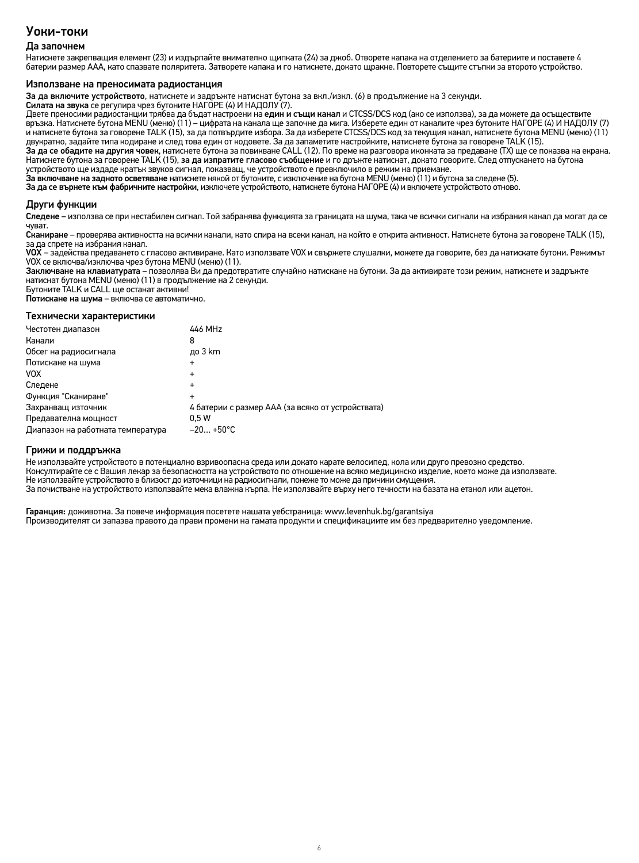### Уоки-токи

### Да започнем

Натиснете закрепващия елемент (23) и издърпайте внимателно щипката (24) за джоб. Отворете капака на отделението за батериите и поставете 4 батерии размер ААА, като спазвате поляритета. Затворете капака и го натиснете, докато щракне. Повторете същите стъпки за второто устройство.

### Използване на преносимата радиостанция

За да включите устройството, натиснете и задръжте натиснат бутона за вкл./изкл. (6) в продължение на 3 секунди.

Силата на звука се регулира чрез бутоните НАГОРЕ (4) И НАДОЛУ (7).

Двете преносими радиостанции трябва да бъдат настроени на един и същи канал и CTCSS/DCS код (ако се използва), за да можете да осъществите връзка. Натиснете бутона MENU (меню) (11) – цифрата на канала ще започне да мига. Изберете един от каналите чрез бутоните НАГОРЕ (4) И НАДОЛУ (7) и натиснете бутона за говорене TALK (15), за да потвърдите избора. За да изберете CTCSS/DCS код за текущия канал, натиснете бутона MENU (меню) (11) двукратно, задайте типа кодиране и след това един от кодовете. За да запаметите настройките, натиснете бутона за говорене TALK (15).

За да се обадите на другия човек, натиснете бутона за повикване CALL (12). По време на разговора иконката за предаване (TX) ще се показва на екрана. устройството ще издаде кратък звуков сигнал, показващ, че устройството е превключило в режим на приемане.

За включване на задното осветяване натиснете някой от бутоните, с изключение на бутона MENU (меню) (11) и бутона за следене (5).

За да се върнете към фабричните настройки, изключете устройството, натиснете бутона НАГОРЕ (4) и включете устройството отново.

### Други функции

Следене – използва се при нестабилен сигнал. Той забранява функцията за границата на шума, така че всички сигнали на избрания канал да могат да се чуват.

Сканиране – проверява активността на всички канали, като спира на всеки канал, на който е открита активност. Натиснете бутона за говорене TALK (15), за да спрете на избрания канал.

VOX – задейства предаването с гласово активиране. Като използвате VOX и свържете слушалки, можете да говорите, без да натискате бутони. Режимът VOX се включва/изключва чрез бутона MENU (меню) (11).

Заключване на клавиатурата – позволява Ви да предотвратите случайно натискане на бутони. За да активирате този режим, натиснете и задръжте натиснат бутона MENU (меню) (11) в продължение на 2 секунди.

Бутоните TALK и CALL ще останат активни!

Потискане на шума – включва се автоматично.

### Технически характеристики

| Честотен диапазон                 | 446 MHz                                           |
|-----------------------------------|---------------------------------------------------|
| Канали                            | 8                                                 |
| Обсег на радиосигнала             | до 3 km                                           |
| Потискане на шума                 | $\ddot{}$                                         |
| <b>VOX</b>                        | $\ddot{}$                                         |
| Следене                           | $\ddot{}$                                         |
| Функция "Сканиране"               | $\ddot{}$                                         |
| Захранващ източник                | 4 батерии с размер ААА (за всяко от устройствата) |
| Предавателна мощност              | 0.5W                                              |
| Диапазон на работната температура | $-20+50°C$                                        |

<mark>Грижи и поддръжка</mark><br>Не използвайте устройството в потенциално взривоопасна среда или докато карате велосипед, кола или друго превозно средство. Консултирайте се с Вашия лекар за безопасността на устройството по отношение на всяко медицинско изделие, което може да използвате.<br>Не използвайте устройството в близост до източници на радиосигнали, понеже то може да при За почистване на устройството използвайте мека влажна кърпа. Не използвайте върху него течности на базата на етанол или ацетон.

Гаранция: доживотна. За повече информация посетете нашата уебстраница: www.levenhuk.bg/garantsiya Производителят си запазва правото да прави промени на гамата продукти и спецификациите им без предварително уведомление.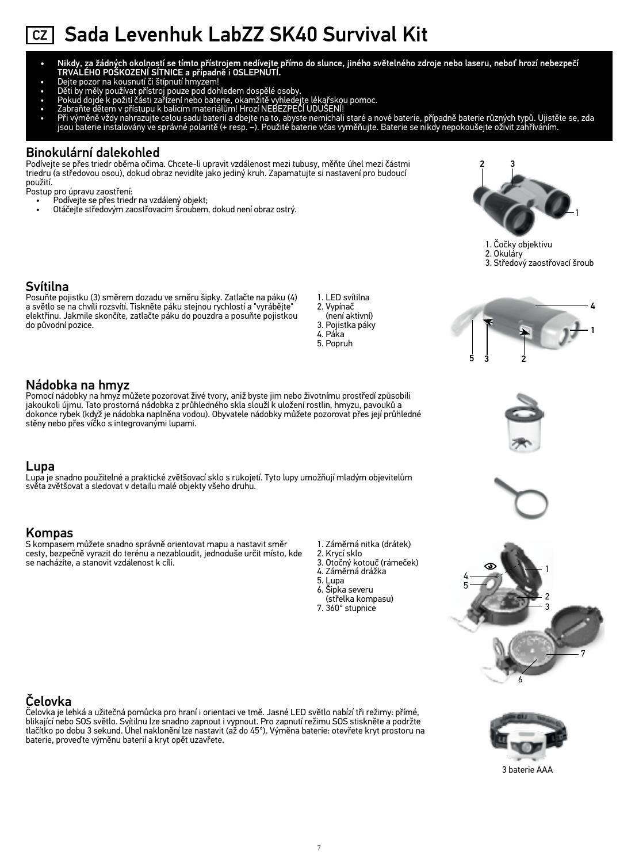# CZ Sada Levenhuk LabZZ SK40 Survival Kit

- Nikdy, za žádných okolností se tímto přístrojem nedívejte přímo do slunce, jiného světelného zdroje nebo laseru, neboť hrozí nebezpečí TRVALÉHO POŠKOZENÍ SÍTNICE a případně i OSLEPNUTÍ.
- 
- 
- Dejte pozor na kousnutí či štípnutí hmyzem!<br>• Děti by měly používat přístroj pouze pod dohledem dospělé osoby.<br>• Pokud dojde k požití části zařízení nebo baterie, okamžitě vyhledejte lékařskou pomoc.<br>•
- 
- Při výměně vždy nahrazujte celou sadu baterií a dbejte na to, abyste nemíchali staré a nové baterie, případně baterie různých typů. Ujistěte se, zda<br>jsou baterie instalovány ve správné polaritě (+ resp. –). Použité baterie

### Binokulární dalekohled

Podívejte se přes triedr oběma očima. Chcete-li upravit vzdálenost mezi tubusy, měňte úhel mezi částmi triedru (a středovou osou), dokud obraz nevidíte jako jediný kruh. Zapamatujte si nastavení pro budoucí použití.

Postup pro úpravu zaostření:<br>Podívejte se přes tried

- Podívejte se přes triedr na vzdálený objekt;
- Otáčejte středovým zaostřovacím šroubem, dokud není obraz ostrý. 1



5 3 2



1

4

### Svítilna

Posuňte pojistku (3) směrem dozadu ve směru šipky. Zatlačte na páku (4) a světlo se na chvíli rozsvítí. Tiskněte páku stejnou rychlostí a "vyrábějte" elektřinu. Jakmile skončíte, zatlačte páku do pouzdra a posuňte pojistkou do původní pozice.

1. LED svítilna 2. Vypínač (není aktivní) 3. Pojistka páky 4. Páka 5. Popruh

### Nádobka na hmyz

Pomocí nádobky na hmyz můžete pozorovat živé tvory, aniž byste jim nebo životnímu prostředí způsobili jakoukoli újmu. Tato prostorná nádobka z průhledného skla slouží k uložení rostlin, hmyzu, pavouků a dokonce rybek (když je nádobka naplněna vodou). Obyvatele nádobky můžete pozorovat přes její průhledné stěny nebo přes víčko s integrovanými lupami.

### Lupa

Lupa je snadno použitelné a praktické zvětšovací sklo s rukojetí. Tyto lupy umožňují mladým objevitelům světa zvětšovat a sledovat v detailu malé objekty všeho druhu.

### Kompas

S kompasem můžete snadno správně orientovat mapu a nastavit směr cesty, bezpečně vyrazit do terénu a nezabloudit, jednoduše určit místo, kde se nacházíte, a stanovit vzdálenost k cíli.

- 1. Záměrná nitka (drátek)
- 2. Krycí sklo 3. Otočný kotouč (rámeček)
- 4. Záměrná drážka
- 
- 5. Lupa 6. Šipka severu
- (střelka kompasu)
- 7. 360° stupnice

### Čelovka

Čelovka je lehká a užitečná pomůcka pro hraní i orientaci ve tmě. Jasné LED světlo nabízí tři režimy: přímé, blikající nebo SOS světlo. Svítilnu lze snadno zapnout i vypnout. Pro zapnutí režimu SOS stiskněte a podržte<br>tlačítko po dobu 3 sekund. Úhel naklonění lze nastavit (až do 45°). Výměna baterie: otevřete kryt prostoru na baterie, proveďte výměnu baterií a kryt opět uzavřete.



6

4

5

1 2

3

7

3 baterie AAA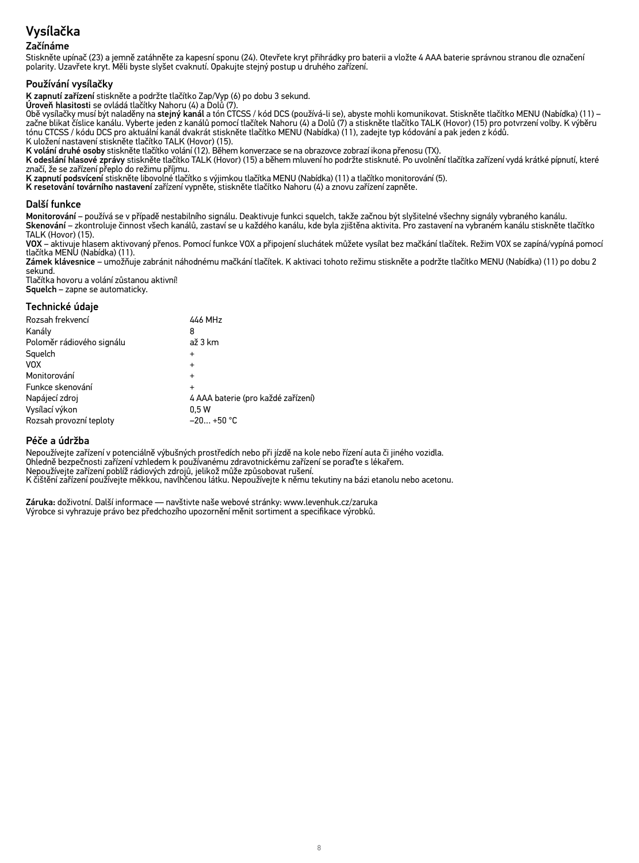# Vysílačka

### Začínáme

Stiskněte upínač (23) a jemně zatáhněte za kapesní sponu (24). Otevřete kryt přihrádky pro baterii a vložte 4 AAA baterie správnou stranou dle označení polarity. Uzavřete kryt. Měli byste slyšet cvaknutí. Opakujte stejný postup u druhého zařízení.

### Používání vysílačky

K zapnutí zařízení stiskněte a podržte tlačítko Zap/Vyp (6) po dobu 3 sekund. Úroveň hlasitosti se ovládá tlačítky Nahoru (4) a Dolů (7).

Obě vysílačky musí být naladěny na stejný kanál a tón CTCSS / kód DCS (používá-li se), abyste mohli komunikovat. Stiskněte tlačítko MENU (Nabídka) (11) – začne blikat číslice kanálu. Vyberte jeden z kanálů pomocí tlačítek Nahoru (4) a Dolů (7) a stiskněte tlačítko TALK (Hovor) (15) pro potvrzení volby. K výběru tónu CTCSS / kódu DCS pro aktuální kanál dvakrát stiskněte tlačítko MENU (Nabídka) (11), zadejte typ kódování a pak jeden z kódů.

K uložení nastavení stiskněte tlačítko TALK (Hovor) (15).

K volání druhé osoby stiskněte tlačítko volání (12). Během konverzace se na obrazovce zobrazí ikona přenosu (TX).

K odeslání hlasové zprávy stiskněte tlačítko TALK (Hovor) (15) a během mluvení ho podržte stisknuté. Po uvolnění tlačítka zařízení vydá krátké pípnutí, které značí, že se zařízení přeplo do režimu příjmu.

K zapnutí podsvícení stiskněte libovolné tlačítko s výjimkou tlačítka MENU (Nabídka) (11) a tlačítko monitorování (5).

K resetování továrního nastavení zařízení vypněte, stiskněte tlačítko Nahoru (4) a znovu zařízení zapněte.

### Další funkce

Monitorování – používá se v případě nestabilního signálu. Deaktivuje funkci squelch, takže začnou být slyšitelné všechny signály vybraného kanálu. Skenování – zkontroluje činnost všech kanálů, zastaví se u každého kanálu, kde byla zjištěna aktivita. Pro zastavení na vybraném kanálu stiskněte tlačítko TALK (Hovor) (15).

VOX – aktivuje hlasem aktivovaný přenos. Pomocí funkce VOX a připojení sluchátek můžete vysílat bez mačkání tlačítek. Režim VOX se zapíná/vypíná pomocí tlačítka MENU (Nabídka) (11).

Zámek klávesnice – umožňuje zabránit náhodnému mačkání tlačítek. K aktivaci tohoto režimu stiskněte a podržte tlačítko MENU (Nabídka) (11) po dobu 2 sekund.

Tlačítka hovoru a volání zůstanou aktivní! Squelch – zapne se automaticky.

### Technické údaje

| Rozsah frekvencí          | 446 MHz                            |
|---------------------------|------------------------------------|
|                           |                                    |
| Kanály                    | 8                                  |
| Poloměr rádiového signálu | až 3 km                            |
| Squelch                   | $\div$                             |
| <b>VOX</b>                | $\ddot{}$                          |
| Monitorování              | $\ddot{}$                          |
| Funkce skenování          |                                    |
| Napájecí zdroj            | 4 AAA baterie (pro každé zařízení) |
| Vysílací výkon            | 0.5W                               |
| Rozsah provozní teploty   | $-20+50$ °C                        |
|                           |                                    |

### Péče a údržba

Nepoužívejte zařízení v potenciálně výbušných prostředích nebo při jízdě na kole nebo řízení auta či jiného vozidla. Ohledně bezpečnosti zařízení vzhledem k používanému zdravotnickému zařízení se poraďte s lékařem. Nepoužívejte zařízení poblíž rádiových zdrojů, jelikož může způsobovat rušení. K čištění zařízení používejte měkkou, navlhčenou látku. Nepoužívejte k němu tekutiny na bázi etanolu nebo acetonu.

Záruka: doživotní. Další informace — navštivte naše webové stránky: www.levenhuk.cz/zaruka Výrobce si vyhrazuje právo bez předchozího upozornění měnit sortiment a specifikace výrobků.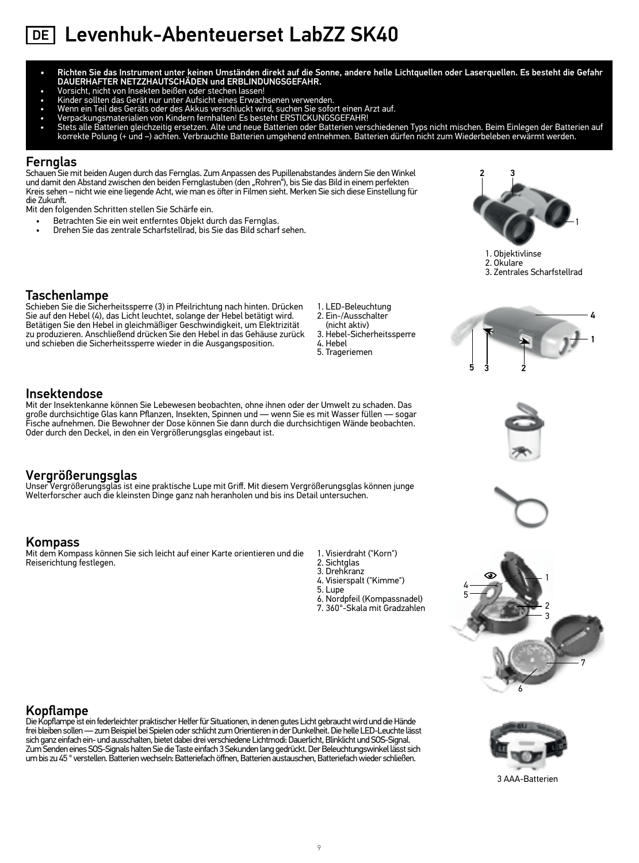- Richten Sie das Instrument unter keinen Umständen direkt auf die Sonne, andere helle Lichtquellen oder Laserquellen. Es besteht die Gefahr DAUERHAFTER NETZZHAUTSCHÄDEN und ERBLINDUNGSGEFAHR.
- 
- 
- 
- 
- Vorsicht, nicht von Insekten beißen oder stechen lassen!<br>• Kinder sollten das Gerät nur unter Aufsicht eines Erwachsenen verwenden.<br>• Wenn ein Teil des Geräts oder des Akkus verschluckt wird, suchen Sie sofort einen Arzt

### Fernglas

Schauen Sie mit beiden Augen durch das Fernglas. Zum Anpassen des Pupillenabstandes ändern Sie den Winkel und damit den Abstand zwischen den beiden Fernglastuben (den "Rohren"), bis Sie das Bild in einem perfekten Kreis sehen – nicht wie eine liegende Acht, wie man es öfter in Filmen sieht. Merken Sie sich diese Einstellung für die Zukunft.

Mit der Insektenkanne können Sie Lebewesen beobachten, ohne ihnen oder der Umwelt zu schaden. Das große durchsichtige Glas kann Pflanzen, Insekten, Spinnen und — wenn Sie es mit Wasser füllen — sogar<br>Fische aufnehmen. Die Bewohner der Dose können Sie dann durch die durchsichtigen Wände beobachten.

Unser Vergrößerungsglas ist eine praktische Lupe mit Griff. Mit diesem Vergrößerungsglas können junge<br>Welterforscher auch die kleinsten Dinge ganz nah heranholen und bis ins Detail untersuchen.

Mit den folgenden Schritten stellen Sie Schärfe ein.

- Betrachten Sie ein weit entferntes Objekt durch das Fernglas.
- Drehen Sie das zentrale Scharfstellrad, bis Sie das Bild scharf sehen. <sup>1</sup>



1. Objektivlinse

2. Okulare 3. Zentrales Scharfstellrad

### Taschenlampe

Insektendose

Vergrößerungsglas

Schieben Sie die Sicherheitssperre (3) in Pfeilrichtung nach hinten. Drücken Sie auf den Hebel (4), das Licht leuchtet, solange der Hebel betätigt wird. Betätigen Sie den Hebel in gleichmäßiger Geschwindigkeit, um Elektrizität zu produzieren. Anschließend drücken Sie den Hebel in das Gehäuse zurück und schieben die Sicherheitssperre wieder in die Ausgangsposition.

Oder durch den Deckel, in den ein Vergrößerungsglas eingebaut ist.

Mit dem Kompass können Sie sich leicht auf einer Karte orientieren und die

- 1. LED-Beleuchtung 2. Ein-/Ausschalter
- (nicht aktiv)
- 3. Hebel-Sicherheitssperre 4. Hebel

1. Visierdraht ("Korn") 2. Sichtglas 3. Drehkranz 4. Visierspalt ("Kimme")

6. Nordpfeil (Kompassnadel) 7. 360°-Skala mit Gradzahlen

5. Lupe

5. Trageriemen











### Kopflampe

Kompass

Reiserichtung festlegen.

Die Kopflampe ist ein federleichter praktischer Helfer für Situationen, in denen gutes Licht gebraucht wird und die Hände frei bleiben sollen — zum Beispiel bei Spielen oder schlicht zum Orientieren in der Dunkelheit. Die helle LED-Leuchte lässt<br>sich ganz einfach ein- und ausschalten, bietet dabei drei verschiedene Lichtmodi: Dauerlicht, Blin Zum Senden eines SOS-Signals halten Sie die Taste einfach 3 Sekunden lang gedrückt. Der Beleuchtungswinkel lässt sich um bis zu 45 ° verstellen. Batterien wechseln: Batteriefach öffnen, Batterien austauschen, Batteriefach wieder schließen.



3 AAA-Batterien

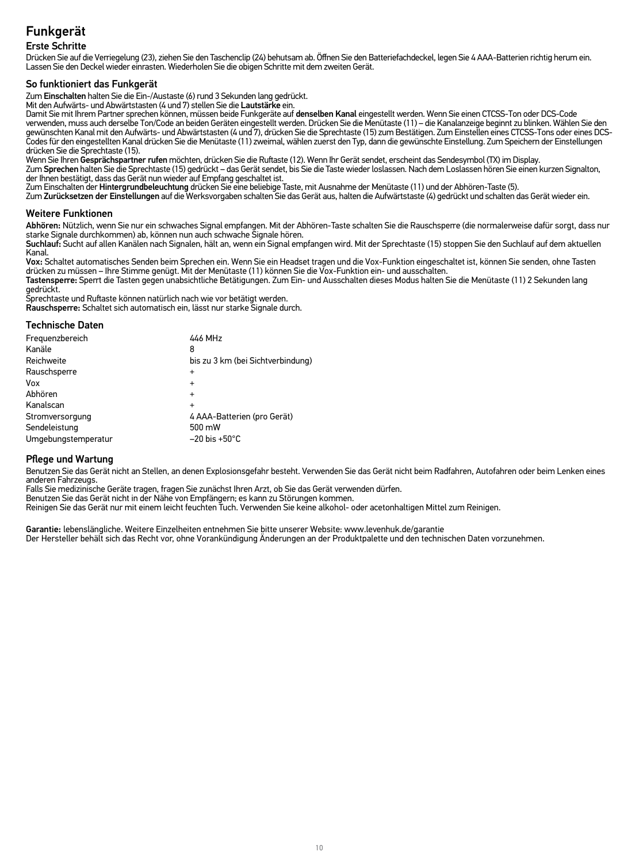### Funkgerät Erste Schritte

Drücken Sie auf die Verriegelung (23), ziehen Sie den Taschenclip (24) behutsam ab. Öffnen Sie den Batteriefachdeckel, legen Sie 4 AAA-Batterien richtig herum ein. Lassen Sie den Deckel wieder einrasten. Wiederholen Sie die obigen Schritte mit dem zweiten Gerät.

So funktioniert das Funkgerät<br>Zum Einschalten halten Sie die Ein-/Austaste (6) rund 3 Sekunden lang gedrückt.

Mit den Aufwärts- und Abwärtstasten (4 und 7) stellen Sie die Lautstärke ein.<br>Damit Sie mit Ihrem Partner sprechen können, müssen beide Funkgeräte auf **denselben Kanal** eingestellt werden. Wenn Sie einen CTCSS-Ton oder DCS verwenden, muss auch derselbe Ton/Code an beiden Geräten eingestellt werden. Drücken Sie die Menütaste (11) – die Kanalanzeige beginnt zu blinken. Wählen Sie den gewünschten Kanal mit den Aufwärts- und Abwärtstasten (4 und 7), drücken Sie die Sprechtaste (15) zum Bestätigen. Zum Einstellen eines CTCSS-Tons oder eines DCS-<br>Codes für den eingestellten Kanal drücken Sie die Menütaste

drücken Sie die Sprechtaste (15).<br>Wenn Sie Ihren Gesprächspartner rufen möchten, drücken Sie die Ruftaste (12). Wenn Ihr Gerät sendet, erscheint das Sendesymbol (TX) im Display.

Zum Sprechen halten Sie die Sprechtaste (15) gedrückt – das Gerät sendet, bis Sie die Taste wieder loslassen. Nach dem Loslassen hören Sie einen kurzen Signalton,<br>der Ihnen bestätigt, dass das Gerät nun wieder auf Empfang

Zum Einschalten der Hi**ntergrundbeleuchtung** drücken Sie eine beliebige Taste, mit Ausnahme der Menütaste (11) und der Abhören-Taste (5).<br>Zum **Zurücksetzen der Einstellungen** auf die Werksvorgaben schalten Sie das Gerät au

### Weitere Funktionen

**Abhören:** Nützlich, wenn Sie nur ein schwaches Signal empfangen. Mit der Abhören-Taste schalten Sie die Rauschsperre (die normalerweise dafür sorgt, dass nur<br>starke Signale durchkommen) ab, können nun auch schwache Signal

Suchlauf: Sucht auf allen Kanälen nach Signalen, hält an, wenn ein Signal empfangen wird. Mit der Sprechtaste (15) stoppen Sie den Suchlauf auf dem aktuellen Kanal.

Vox: Schaltet automatisches Senden beim Sprechen ein. Wenn Sie ein Headset tragen und die Vox-Funktion eingeschaltet ist, können Sie senden, ohne Tasten drücken zu müssen – Ihre Stimme genügt. Mit der Menütaste (11) können Sie die Vox-Funktion ein- und ausschalten.

Tastensperre: Sperrt die Tasten gegen unabsichtliche Betätigungen. Zum Ein- und Ausschalten dieses Modus halten Sie die Menütaste (11) 2 Sekunden lang

gedrückt. Sprechtaste und Ruftaste können natürlich nach wie vor betätigt werden. Rauschsperre: Schaltet sich automatisch ein, lässt nur starke Signale durch.

### Technische Daten

| Frequenzbereich     | 446 MHz                           |
|---------------------|-----------------------------------|
| Kanäle              | 8                                 |
| Reichweite          | bis zu 3 km (bei Sichtverbindung) |
| Rauschsperre        | $\ddot{}$                         |
| Vox                 | $\ddot{}$                         |
| Abhören             | $\ddot{}$                         |
| Kanalscan           |                                   |
| Stromversorgung     | 4 AAA-Batterien (pro Gerät)       |
| Sendeleistung       | 500 mW                            |
| Umgebungstemperatur | $-20$ bis $+50^{\circ}$ C         |
|                     |                                   |

### Pflege und Wartung

Benutzen Sie das Gerät nicht an Stellen, an denen Explosionsgefahr besteht. Verwenden Sie das Gerät nicht beim Radfahren, Autofahren oder beim Lenken eines anderen Fahrzeugs.

Falls Sie medizinische Geräte tragen, fragen Sie zunächst Ihren Arzt, ob Sie das Gerät verwenden dürfen.

Benutzen Sie das Gerät nicht in der Nähe von Empfängern; es kann zu Störungen kommen.<br>Reinigen Sie das Gerät nur mit einem leicht feuchten Tuch. Verwenden Sie keine alkohol- oder acetonhaltigen Mittel zum Reinigen.

Garantie: lebenslängliche. Weitere Einzelheiten entnehmen Sie bitte unserer Website: www.levenhuk.de/garantie Der Hersteller behält sich das Recht vor, ohne Vorankündigung Änderungen an der Produktpalette und den technischen Daten vorzunehmen.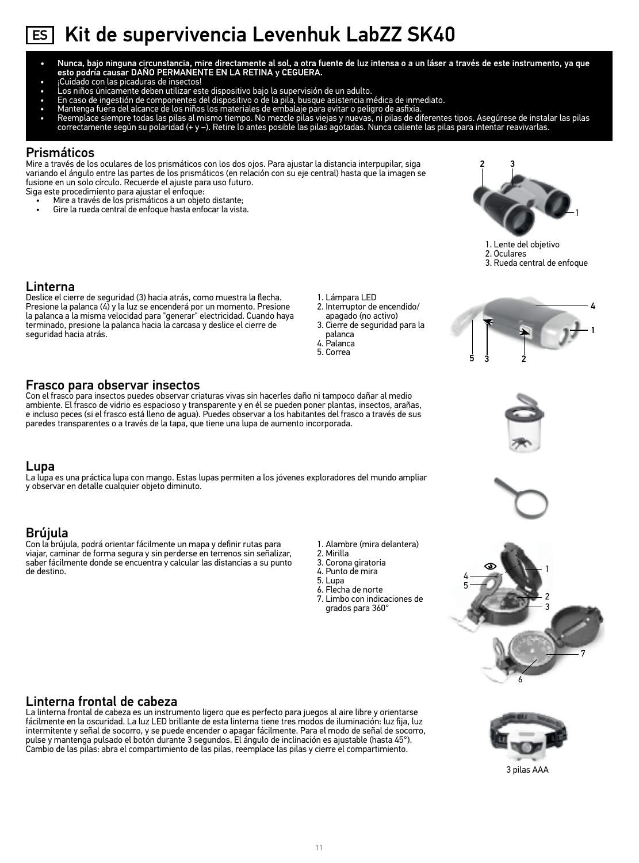# ES Kit de supervivencia Levenhuk LabZZ SK40

- Nunca, bajo ninguna circunstancia, mire directamente al sol, a otra fuente de luz intensa o a un láser a través de este instrumento, ya que esto podría causar DAÑO PERMANENTE EN LA RETINA y CEGUERA.
- ¡Cuidado con las picaduras de insectos!
- Los niños únicamente deben utilizar este dispositivo bajo la supervisión de un adulto.
- 
- 
- En caso de ingestión de componentes del dispositivo o de la pila, busque asistencia médica de inmediato.<br>• Mantenga fuera del alcance de los niños los materiales de embalaje para evitar o peligro de asfixia.<br>•

### Prismáticos

Mire a través de los oculares de los prismáticos con los dos ojos. Para ajustar la distancia interpupilar, siga variando el ángulo entre las partes de los prismáticos (en relación con su eje central) hasta que la imagen se fusione en un solo círculo. Recuerde el ajuste para uso futuro.

Con el frasco para insectos puedes observar criaturas vivas sin hacerles daño ni tampoco dañar al medio ambiente. El frasco de vidrio es espacioso y transparente y en él se pueden poner plantas, insectos, arañas, e incluso peces (si el frasco está lleno de agua). Puedes observar a los habitantes del frasco a través de sus

La lupa es una práctica lupa con mango. Estas lupas permiten a los jóvenes exploradores del mundo ampliar

paredes transparentes o a través de la tapa, que tiene una lupa de aumento incorporada.

Siga este procedimiento para ajustar el enfoque:

Frasco para observar insectos

y observar en detalle cualquier objeto diminuto.

- Mire a través de los prismáticos a un objeto distante;
- Gire la rueda central de enfoque hasta enfocar la vista.



- 1. Lente del objetivo 2. Oculares
- 3. Rueda central de enfoque

### Linterna

Lupa

de destino.

Deslice el cierre de seguridad (3) hacia atrás, como muestra la flecha. Presione la palanca (4) y la luz se encenderá por un momento. Presione la palanca a la misma velocidad para "generar" electricidad. Cuando haya terminado, presione la palanca hacia la carcasa y deslice el cierre de seguridad hacia atrás.

3. Cierre de seguridad para la

1. Lámpara LED 2. Interruptor de encendido/

- apagado (no activo) palanca 4. Palanca
- 5. Correa









4

5

1 2

3



- Con la brújula, podrá orientar fácilmente un mapa y definir rutas para viajar, caminar de forma segura y sin perderse en terrenos sin señalizar, saber fácilmente donde se encuentra y calcular las distancias a su punto
- 1. Alambre (mira delantera) 2. Mirilla
	- 3. Corona giratoria
	- 4. Punto de mira
	- 5. Lupa
	- 6. Flecha de norte
	- 7. Limbo con indicaciones de grados para 360°

### Linterna frontal de cabeza

La linterna frontal de cabeza es un instrumento ligero que es perfecto para juegos al aire libre y orientarse fácilmente en la oscuridad. La luz LED brillante de esta linterna tiene tres modos de iluminación: luz fija, luz intermitente y señal de socorro, y se puede encender o apagar fácilmente. Para el modo de señal de socorro, pulse y mantenga pulsado el botón durante 3 segundos. El ángulo de inclinación es ajustable (hasta 45°). Cambio de las pilas: abra el compartimiento de las pilas, reemplace las pilas y cierre el compartimiento.



6

7

3 pilas AAA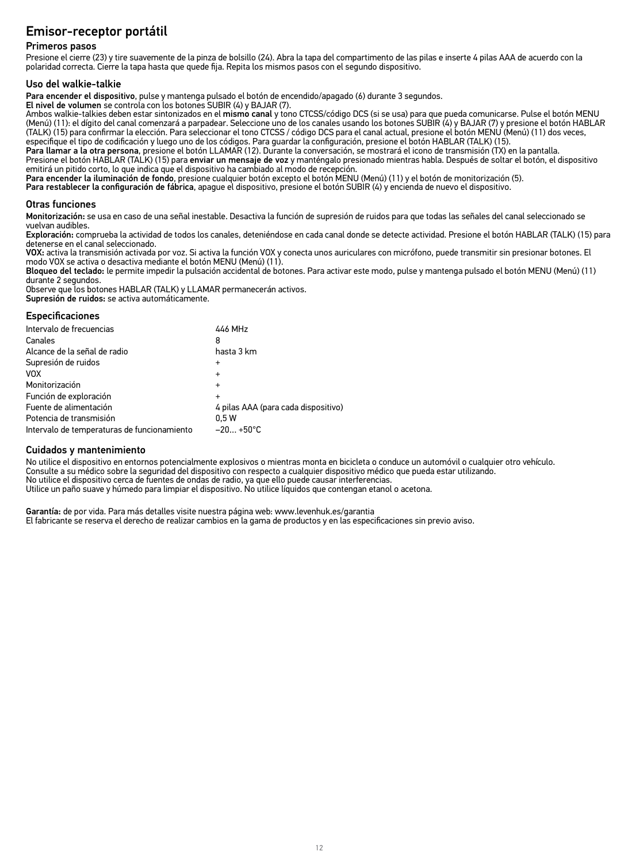### Emisor-receptor portátil

### Primeros pasos

Presione el cierre (23) y tire suavemente de la pinza de bolsillo (24). Abra la tapa del compartimento de las pilas e inserte 4 pilas AAA de acuerdo con la polaridad correcta. Cierre la tapa hasta que quede fija. Repita los mismos pasos con el segundo dispositivo.

Uso del walkie-talkie<br>Para encender el dispositivo, pulse y mantenga pulsado el botón de encendido/apagado (6) durante 3 segundos.

El nivel de volumen se controla con los botones SUBIR (4) y BAJAR (7).<br>Ambos walkie-talkies deben estar sintonizados en el mismo canal y tono CTCSS/código DCS (si se usa) para que pueda comunicarse. Pulse el botón MENU (Menú) (11): el dígito del canal comenzará a parpadear. Seleccione uno de los canales usando los botones SUBIR (4) y BAJAR (7) y presione el botón HABLAR<br>(TALK) (15) para confirmar la elección. Para seleccionar el tono CTC especifique el tipo de codificación y luego uno de los códigos. Para guardar la configuración, presione el botón HABLAR (TALK) (15).

Para llamar a la otra persona, presione el botón LLAMAR (12). Durante la conversación, se mostrará el icono de transmisión (TX) en la pantalla. Presione el botón HABLAR (TALK) (15) para enviar un mensaje de voz y manténgalo presionado mientras habla. Después de soltar el botón, el dispositivo emitirá un pitido corto, lo que indica que el dispositivo ha cambiado al modo de recepción.

Para encender la iluminación de fondo, presione cualquier botón excepto el botón MENU (Menú) (11) y el botón de monitorización (5).

Para restablecer la configuración de fábrica, apague el dispositivo, presione el botón SUBIR (4) y encienda de nuevo el dispositivo.

### Otras funciones

Monitorización: se usa en caso de una señal inestable. Desactiva la función de supresión de ruidos para que todas las señales del canal seleccionado se vuelvan audibles.

Exploración: comprueba la actividad de todos los canales, deteniéndose en cada canal donde se detecte actividad. Presione el botón HABLAR (TALK) (15) para detenerse en el canal seleccionado.

VOX: activa la transmisión activada por voz. Si activa la función VOX y conecta unos auriculares con micrófono, puede transmitir sin presionar botones. El modo VOX se activa o desactiva mediante el botón MENU (Menú) (11).

Bloqueo del teclado: le permite impedir la pulsación accidental de botones. Para activar este modo, pulse y mantenga pulsado el botón MENU (Menú) (11) durante 2 segundos.

Observe que los botones HABLAR (TALK) y LLAMAR permanecerán activos.

Supresión de ruidos: se activa automáticamente.

### **Especificaciones**

| Intervalo de frecuencias                    | 446 MHz                             |
|---------------------------------------------|-------------------------------------|
| Canales                                     | 8                                   |
| Alcance de la señal de radio                | hasta 3 km                          |
| Supresión de ruidos                         |                                     |
| <b>VOX</b>                                  | $\ddot{}$                           |
| Monitorización                              |                                     |
| Función de exploración                      |                                     |
| Fuente de alimentación                      | 4 pilas AAA (para cada dispositivo) |
| Potencia de transmisión                     | 0.5W                                |
| Intervalo de temperaturas de funcionamiento | $-20+50°C$                          |

### Cuidados y mantenimiento

No utilice el dispositivo en entornos potencialmente explosivos o mientras monta en bicicleta o conduce un automóvil o cualquier otro vehículo. Consulte a su médico sobre la seguridad del dispositivo con respecto a cualquier dispositivo médico que pueda estar utilizando. No utilice el dispositivo cerca de fuentes de ondas de radio, ya que ello puede causar interferencias. Utilice un paño suave y húmedo para limpiar el dispositivo. No utilice líquidos que contengan etanol o acetona.

Garantía: de por vida. Para más detalles visite nuestra página web: www.levenhuk.es/garantia El fabricante se reserva el derecho de realizar cambios en la gama de productos y en las especificaciones sin previo aviso.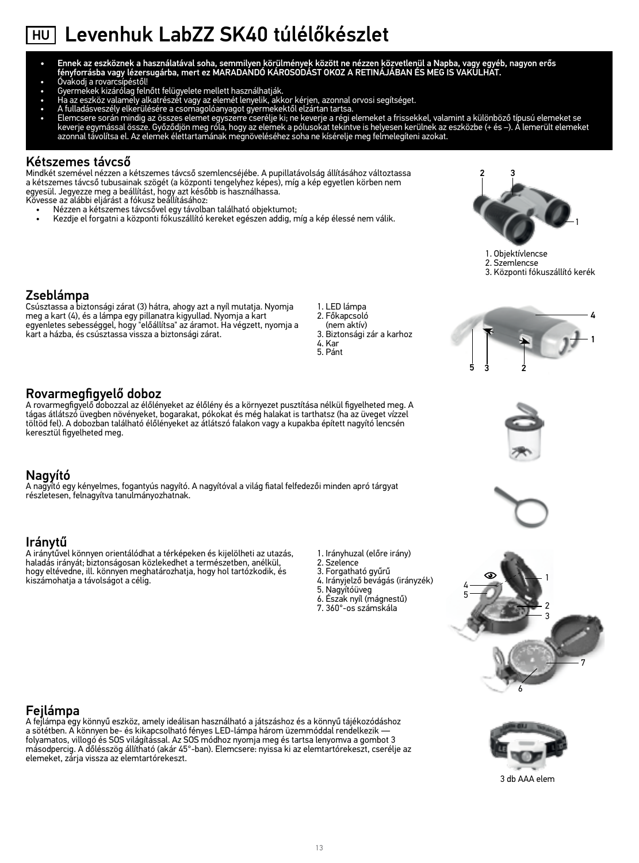# HU Levenhuk LabZZ SK40 túlélőkészlet

- Ennek az eszköznek a használatával soha, semmilyen körülmények között ne nézzen közvetlenül a Napba, vagy egyéb, nagyon erős<br>fényforrásba vagy lézersugárba, mert ez MARADANDÓ KÁROSODÁST OKOZ A RETINÁJÁBAN ÉS MEG IS VAKULHA
- 
- 
- 
- 
- Ovakodj a rovarcsípéstől!<br>• Gyermekek kizárólag felhőtt felügyelete mellett használhatják.<br>• Ha az eszköz valamely alkatrészét vagy az elemét lenyelik, akkor kérjen, azonnal orvosi segítséget.<br>• A fulladásveszély elkerül

### Kétszemes távcső

Mindkét szemével nézzen a kétszemes távcső szemlencséjébe. A pupillatávolság állításához változtassa a kétszemes távcső tubusainak szögét (a központi tengelyhez képes), míg a kép egyetlen körben nem egyesül. Jegyezze meg a beállítást, hogy azt később is használhassa.

Kövesse az alábbi eljárást a fókusz beállításához:

- Nézzen a kétszemes távcsővel egy távolban található objektumot;
- Kezdje el forgatni a központi fókuszállító kereket egészen addig, míg a kép élessé nem válik. 1

A rovarmegfigyelő dobozzal az élőlényeket az élőlény és a környezet pusztítása nélkül figyelheted meg. A tágas átlátszó üvegben növényeket, bogarakat, pókokat és még halakat is tarthatsz (ha az üveget vízzel töltöd fel). A dobozban található élőlényeket az átlátszó falakon vagy a kupakba épített nagyító lencsén



- 1. Objektívlencse
- 2. Szemlencse
- 3. Központi fókuszállító kerék

### Zseblámpa

Rovarmegfigyelő doboz

keresztül figyelheted meg.

Csúsztassa a biztonsági zárat (3) hátra, ahogy azt a nyíl mutatja. Nyomja meg a kart (4), és a lámpa egy pillanatra kigyullad. Nyomja a kart egyenletes sebességgel, hogy "előállítsa" az áramot. Ha végzett, nyomja a kart a házba, és csúsztassa vissza a biztonsági zárat.

1. LED lámpa 2. Főkapcsoló (nem aktív) 3. Biztonsági zár a karhoz 4. Kar

5. Pánt







### Iránytű

A iránytűvel könnyen orientálódhat a térképeken és kijelölheti az utazás, haladás irányát; biztonságosan közlekedhet a természetben, anélkül, hogy eltévedne, ill. könnyen meghatározhatja, hogy hol tartózkodik, és kiszámohatja a távolságot a célig.

- 1. Irányhuzal (előre irány)
- 2. Szelence
- 3. Forgatható gyűrű
- 4. Irányjelző bevágás (irányzék)
- 5. Nagyítóüveg 6. Észak nyíl (mágnestű)
- 7. 360°-os számskála



1

### Fejlámpa

A fejlámpa egy könnyű eszköz, amely ideálisan használható a játszáshoz és a könnyű tájékozódáshoz a sötétben. A könnyen be- és kikapcsolható fényes LED-lámpa három üzemmóddal rendelkezik folyamatos, villogó és SOS világítással. Az SOS módhoz nyomja meg és tartsa lenyomva a gombot 3 másodpercig. A dőlésszög állítható (akár 45°-ban). Elemcsere: nyissa ki az elemtartórekeszt, cserélje az elemeket, zárja vissza az elemtartórekeszt.



3 db AAA elem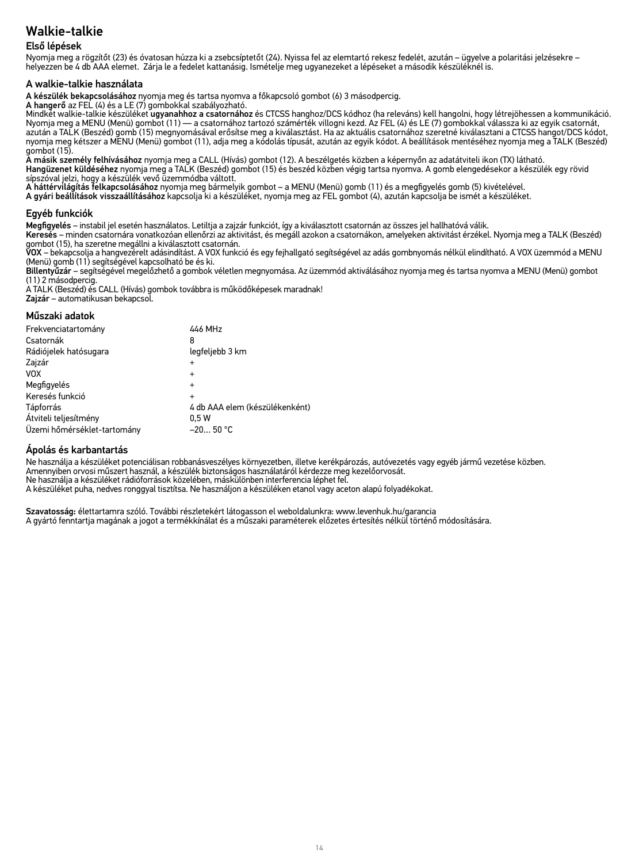### Első lépések

Nyomja meg a rögzítőt (23) és óvatosan húzza ki a zsebcsíptetőt (24). Nyissa fel az elemtartó rekesz fedelét, azután – ügyelve a polaritási jelzésekre – helyezzen be 4 db AAA elemet. Zárja le a fedelet kattanásig. Ismételje meg ugyanezeket a lépéseket a második készüléknél is.

### A walkie-talkie használata

A készülék bekapcsolásához nyomja meg és tartsa nyomva a főkapcsoló gombot (6) 3 másodpercig.

A hangerő az FEL (4) és a LE (7) gombokkal szabályozható.

Mindkét walkie-talkie készüléket ugyanahhoz a csatornához és CTCSS hanghoz/DCS kódhoz (ha releváns) kell hangolni, hogy létrejöhessen a kommunikáció. Nyomja meg a MENU (Menü) gombot (11) — a csatornához tartozó számérték villogni kezd. Az FEL (4) és LE (7) gombokkal válassza ki az egyik csatornát, azután a TALK (Beszéd) gomb (15) megnyomásával erősítse meg a kiválasztást. Ha az aktuális csatornához szeretné kiválasztani a CTCSS hangot/DCS kódot,<br>nyomja meg kétszer a MENU (Menü) gombot (11), adja meg a kódolás típusá gombot (15).

A másik személy felhívásához nyomja meg a CALL (Hívás) gombot (12). A beszélgetés közben a képernyőn az adatátviteli ikon (TX) látható. Hangüzenet küldéséhez nyomja meg a TALK (Beszéd) gombot (15) és beszéd közben végig tartsa nyomva. A gomb elengedésekor a készülék egy rövid<br>sípszóval jelzi, hogy a készülék vevő üzemmódba váltott.

A háttérvilágítás felkapcsolásához nyomja meg bármelyik gombot – a MENU (Menü) gomb (11) és a megfigyelés gomb (5) kivételével.

A gyári beállítások visszaállításához kapcsolja ki a készüléket, nyomja meg az FEL gombot (4), azután kapcsolja be ismét a készüléket.

### Egyéb funkciók

Megfigyelés – instabil jel esetén használatos. Letiltja a zajzár funkciót, így a kiválasztott csatornán az összes jel hallhatóvá válik.

Keresés – minden csatornára vonatkozóan ellenőrzi az aktivitást, és megáll azokon a csatornákon, amelyeken aktivitást érzékel. Nyomja meg a TALK (Beszéd)

gombot (15), ha szeretne megállni a kiválasztott csatornán.<br>**VOX** – bekapcsolja a hangvezérelt adásindítást. A VOX funkció és egy fejhallgató segítségével az adás gombnyomás nélkül elindítható. A VOX üzemmód a MENU (Menü) gomb (11) segítségével kapcsolható be és ki.

Billentyűzár – segítségével megelőzhető a gombok véletlen megnyomása. Az üzemmód aktiválásához nyomja meg és tartsa nyomva a MENU (Menü) gombot (11) 2 másodpercig.

A TALK (Beszéd) és CALL (Hívás) gombok továbbra is működőképesek maradnak!

Zajzár – automatikusan bekapcsol.

### Műszaki adatok

| 446 MHz                        |
|--------------------------------|
| 8                              |
| legfeljebb 3 km                |
| $\ddot{}$                      |
| $\ddot{}$                      |
| $\ddot{}$                      |
| $\ddot{}$                      |
| 4 db AAA elem (készülékenként) |
| 0.5W                           |
| $-2050 °C$                     |
|                                |

### Ápolás és karbantartás

Ne használja a készüléket potenciálisan robbanásveszélyes környezetben, illetve kerékpározás, autóvezetés vagy egyéb jármű vezetése közben. Amennyiben orvosi műszert használ, a készülék biztonságos használatáról kérdezze meg kezelőorvosát. Ne használja a készüléket rádióforrások közelében, máskülönben interferencia léphet fel. A készüléket puha, nedves ronggyal tisztítsa. Ne használjon a készüléken etanol vagy aceton alapú folyadékokat.

Szavatosság: élettartamra szóló. További részletekért látogasson el weboldalunkra: www.levenhuk.hu/garancia A gyártó fenntartja magának a jogot a termékkínálat és a műszaki paraméterek előzetes értesítés nélkül történő módosítására.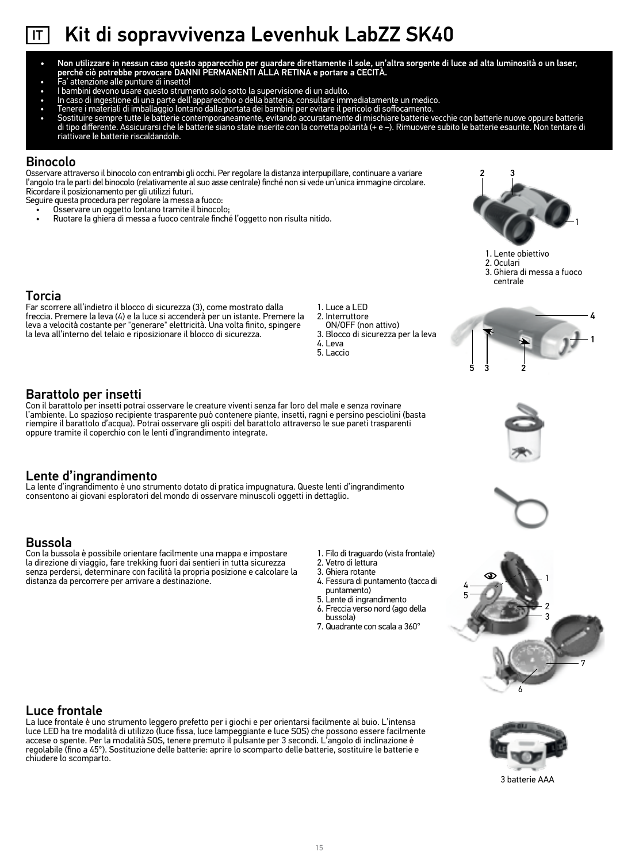# IT Kit di sopravvivenza Levenhuk LabZZ SK40

- Non utilizzare in nessun caso questo apparecchio per guardare direttamente il sole, un'altra sorgente di luce ad alta luminosità o un laser, perché ciò potrebbe provocare DANNI PERMANENTI ALLA RETINA e portare a CECITÀ.
- Fa' attenzione alle punture di insetto!
- I bambini devono usare questo strumento solo sotto la supervisione di un adulto.
- In caso di ingestione di una parte dell'apparecchio o della batteria, consultare immediatamente un medico.
- 
- Tenere i materiali di imballaggio lontano dalla portata dei bambini per evitare il pericolo di soffocamento.<br>• Sostituire sempre tutte le batterie contemporaneamente, evitando accuratamente di mischiare batteri di tipo differente. Assicurarsi che le batterie siano state inserite con la corretta polarità (+ e –). Rimuovere subito le batterie esaurite. Non tentare di riattivare le batterie riscaldandole.

### Binocolo

Osservare attraverso il binocolo con entrambi gli occhi. Per regolare la distanza interpupillare, continuare a variare l'angolo tra le parti del binocolo (relativamente al suo asse centrale) finché non si vede un'unica immagine circolare. Ricordare il posizionamento per gli utilizzi futuri.

Seguire questa procedura per regolare la messa a fuoco:

- Osservare un oggetto lontano tramite il binocolo;
- Ruotare la ghiera di messa a fuoco centrale finché l'oggetto non risulta nitido. 1



- 1. Lente obiettivo
- 2. Oculari
- 3. Ghiera di messa a fuoco centrale

### Torcia

Far scorrere all'indietro il blocco di sicurezza (3), come mostrato dalla freccia. Premere la leva (4) e la luce si accenderà per un istante. Premere la leva a velocità costante per "generare" elettricità. Una volta finito, spingere la leva all'interno del telaio e riposizionare il blocco di sicurezza.

- 1. Luce a LED 2. Interruttore
- ON/OFF (non attivo)
- 3. Blocco di sicurezza per la leva 4. Leva
- 5. Laccio

### Barattolo per insetti

Con il barattolo per insetti potrai osservare le creature viventi senza far loro del male e senza rovinare l'ambiente. Lo spazioso recipiente trasparente può contenere piante, insetti, ragni e persino pesciolini (basta riempire il barattolo d'acqua). Potrai osservare gli ospiti del barattolo attraverso le sue pareti trasparenti oppure tramite il coperchio con le lenti d'ingrandimento integrate.

### Lente d'ingrandimento

La lente d'ingrandimento è uno strumento dotato di pratica impugnatura. Queste lenti d'ingrandimento consentono ai giovani esploratori del mondo di osservare minuscoli oggetti in dettaglio.

### Bussola

Con la bussola è possibile orientare facilmente una mappa e impostare la direzione di viaggio, fare trekking fuori dai sentieri in tutta sicurezza senza perdersi, determinare con facilità la propria posizione e calcolare la distanza da percorrere per arrivare a destinazione.

- 
- 1. Filo di traguardo (vista frontale) 2. Vetro di lettura
- 3. Ghiera rotante
- 4. Fessura di puntamento (tacca di puntamento)
- 5. Lente di ingrandimento
- 6. Freccia verso nord (ago della
- bussola)
- 7. Quadrante con scala a 360°









### Luce frontale

La luce frontale è uno strumento leggero prefetto per i giochi e per orientarsi facilmente al buio. L'intensa luce LED ha tre modalità di utilizzo (luce fissa, luce lampeggiante e luce SOS) che possono essere facilmente<br>accese o spente. Per la modalità SOS, tenere premuto il pulsante per 3 secondi. L'angolo di inclinazione è regolabile (fino a 45°). Sostituzione delle batterie: aprire lo scomparto delle batterie, sostituire le batterie e chiudere lo scomparto.



3 batterie AAA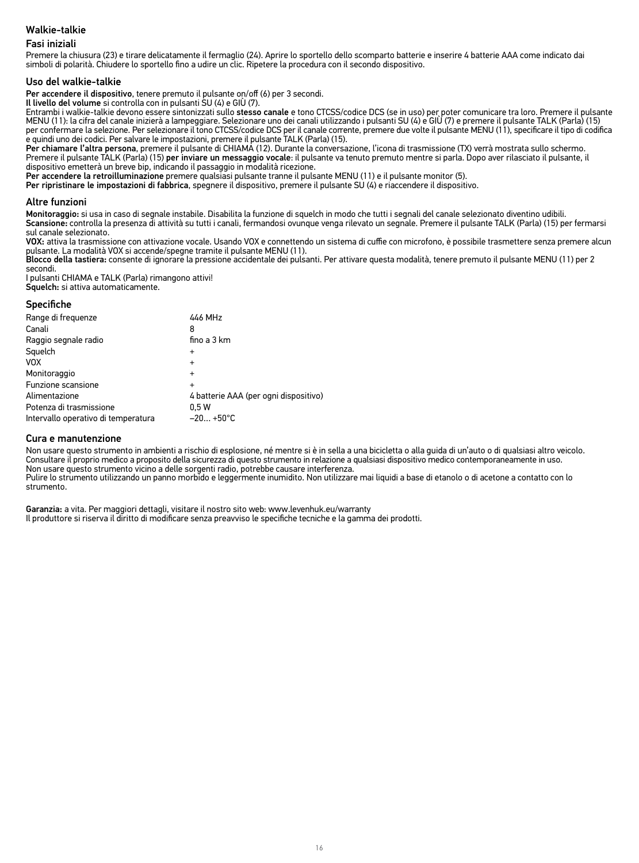### Fasi iniziali

Premere la chiusura (23) e tirare delicatamente il fermaglio (24). Aprire lo sportello dello scomparto batterie e inserire 4 batterie AAA come indicato dai simboli di polarità. Chiudere lo sportello fino a udire un clic. Ripetere la procedura con il secondo dispositivo.

Uso del walkie-talkie<br>Per accendere il dispositivo, tenere premuto il pulsante on/off (6) per 3 secondi.

Il livello del volume si controlla con in pulsanti SU (4) e GIÙ (7).<br>Entrambi i valkie-talkie devono essere sintonizzati sullo stesso canale e tono CTCSS/codice DCS (se in uso) per poter comunicare tra loro. Premere il pul per confermare la selezione. Per selezionare il tono CTCSS/codice DCS per il canale corrente, premere due volte il pulsante MENU (11), specificare il tipo di codifica

e quindi uno dei codici. Per salvare le impostazioni, premere il pulsante TALK (Parla) (15).<br>**Per chiamare l'altra persona**, premere il pulsante di CHIAMA (12). Durante la conversazione, l'icona di trasmissione (TX) verrà Premere il pulsante TALK (Parla) (15) per inviare un messaggio vocale: il pulsante va tenuto premuto mentre si parla. Dopo aver rilasciato il pulsante, il dispositivo emetterà un breve bip, indicando il passaggio in modalità ricezione.

Per accendere la retroilluminazione premere qualsiasi pulsante tranne il pulsante MENU (11) e il pulsante monitor (5).

Per ripristinare le impostazioni di fabbrica, spegnere il dispositivo, premere il pulsante SU (4) e riaccendere il dispositivo.

### Altre funzioni

Monitoraggio: si usa in caso di segnale instabile. Disabilita la funzione di squelch in modo che tutti i segnali del canale selezionato diventino udibili. Scansione: controlla la presenza di attività su tutti i canali, fermandosi ovunque venga rilevato un segnale. Premere il pulsante TALK (Parla) (15) per fermarsi sul canale selezionato.

VOX: attiva la trasmissione con attivazione vocale. Usando VOX e connettendo un sistema di cuffie con microfono, è possibile trasmettere senza premere alcun

pulsante. La modalità VOX si accende/spegne tramite il pulsante MENU (11).<br>**Blocco della tastiera:** consente di ignorare la pressione accidentale dei pulsanti. Per attivare questa modalità, tenere premuto il pulsante MENU secondi.

I pulsanti CHIAMA e TALK (Parla) rimangono attivi! Squelch: si attiva automaticamente.

### **Specifiche**

| Range di frequenze                  | 446 MHz                               |
|-------------------------------------|---------------------------------------|
| Canali                              | 8                                     |
| Raggio segnale radio                | fino a $3 \text{ km}$                 |
| Squelch                             | $\ddot{}$                             |
| <b>VOX</b>                          | $\ddot{}$                             |
| Monitoraggio                        | $\ddot{}$                             |
| Funzione scansione                  | $\ddot{}$                             |
| Alimentazione                       | 4 batterie AAA (per ogni dispositivo) |
| Potenza di trasmissione             | 0.5W                                  |
| Intervallo operativo di temperatura | $-20+50°C$                            |

### Cura e manutenzione

Non usare questo strumento in ambienti a rischio di esplosione, né mentre si è in sella a una bicicletta o alla guida di un'auto o di qualsiasi altro veicolo. Consultare il proprio medico a proposito della sicurezza di questo strumento in relazione a qualsiasi dispositivo medico contemporaneamente in uso. Non usare questo strumento vicino a delle sorgenti radio, potrebbe causare interferenza.

Pulire lo strumento utilizzando un panno morbido e leggermente inumidito. Non utilizzare mai liquidi a base di etanolo o di acetone a contatto con lo strumento.

Garanzia: a vita. Per maggiori dettagli, visitare il nostro sito web: www.levenhuk.eu/warranty Il produttore si riserva il diritto di modificare senza preavviso le specifiche tecniche e la gamma dei prodotti.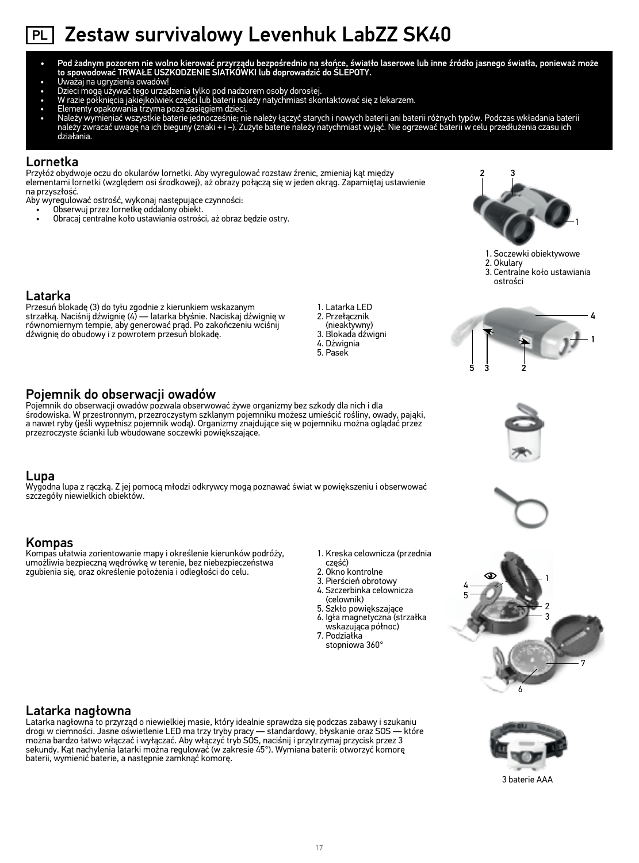# PL Zestaw survivalowy Levenhuk LabZZ SK40

- Pod żadnym pozorem nie wolno kierować przyrządu bezpośrednio na słońce, światło laserowe lub inne źródło jasnego światła, ponieważ może to spowodować TRWAŁE USZKODZENIE SIATKÓWKI lub doprowadzić do ŚLEPOTY.
- Uważaj na ugryzienia owadów!
- Dzieci mogą używać tego urządzenia tylko pod nadzorem osoby dorosłej.
- W razie połknięcia jakiejkolwiek części lub baterii należy natychmiast skontaktować się z lekarzem.
- 
- Elementy opakowania trzyma poza zasięgiem dzieci,<br>• Należy wymieniać wszystkie baterie jednocześnie; nie należy łączyć starych i nowych baterii ni baterii różnych typów. Podczas wkładania baterii<br>• należy zwr działania.

### Lornetka

Przyłóż obydwoje oczu do okularów lornetki. Aby wyregulować rozstaw źrenic, zmieniaj kąt między elementami lornetki (względem osi środkowej), aż obrazy połączą się w jeden okrąg. Zapamiętaj ustawienie na przyszłość.

Aby wyregulować ostrość, wykonaj następujące czynności:

- Obserwuj przez lornetkę oddalony obiekt.
- Obracaj centralne koło ustawiania ostrości, aż obraz będzie ostry. 1



1. Soczewki obiektywowe 2. Okulary 3. Centralne koło ustawiania





Przesuń blokadę (3) do tyłu zgodnie z kierunkiem wskazanym strzałką. Naciśnij dźwignię (4) — latarka błyśnie. Naciskaj dźwignię w równomiernym tempie, aby generować prąd. Po zakończeniu wciśnij dźwignię do obudowy i z powrotem przesuń blokadę.

### Pojemnik do obserwacji owadów

Pojemnik do obserwacji owadów pozwala obserwować żywe organizmy bez szkody dla nich i dla środowiska. W przestronnym, przezroczystym szklanym pojemniku możesz umieścić rośliny, owady, pająki, a nawet ryby (jeśli wypełnisz pojemnik wodą). Organizmy znajdujące się w pojemniku można oglądać przez przezroczyste ścianki lub wbudowane soczewki powiększające.

### Lupa

Wygodna lupa z rączką. Z jej pomocą młodzi odkrywcy mogą poznawać świat w powiększeniu i obserwować szczegóły niewielkich obiektów.

### Kompas

Kompas ułatwia zorientowanie mapy i określenie kierunków podróży, umożliwia bezpieczną wędrówkę w terenie, bez niebezpieczeństwa zgubienia się, oraz określenie położenia i odległości do celu.

1. Latarka LED 2. Przełącznik (nieaktywny) 3. Blokada dźwigni 4. Dźwignia 5. Pasek

1. Kreska celownicza (przednia

część) 2. Okno kontrolne 3. Pierścień obrotowy 4. Szczerbinka celownicza (celownik) 5. Szkło powiększające 6. Igła magnetyczna (strzałka wskazująca północ) 7. Podziałka stopniowa 360°









### Latarka nagłowna

Latarka nagłowna to przyrząd o niewielkiej masie, który idealnie sprawdza się podczas zabawy i szukaniu drogi w ciemności. Jasne oświetlenie LED ma trzy tryby pracy — standardowy, błyskanie oraz SOS — które można bardzo łatwo włączać i wyłączać. Aby włączyć tryb SOS, naciśnij i przytrzymaj przycisk przez 3 sekundy. Kąt nachylenia latarki można regulować (w zakresie 45°). Wymiana baterii: otworzyć komorę baterii, wymienić baterie, a następnie zamknąć komorę.



3 baterie AAA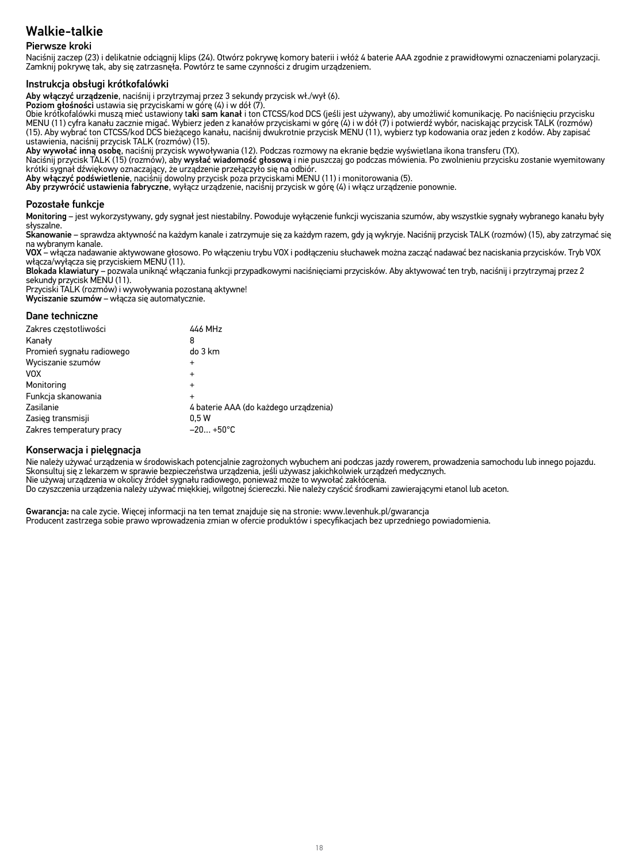### Pierwsze kroki

Naciśnij zaczep (23) i delikatnie odciągnij klips (24). Otwórz pokrywę komory baterii i włóż 4 baterie AAA zgodnie z prawidłowymi oznaczeniami polaryzacji. Zamknij pokrywę tak, aby się zatrzasnęła. Powtórz te same czynności z drugim urządzeniem.

### Instrukcja obsługi krótkofalówki

Aby włączyć urządzenie, naciśnij i przytrzymaj przez 3 sekundy przycisk wł./wył (6).

Poziom głośności ustawia się przyciskami w górę (4) i w dół (7).

Obie krótkofalówki muszą mieć ustawiony taki sam kanał i ton CTCSS/kod DCS (jeśli jest używany), aby umożliwić komunikację. Po naciśnięciu przycisku MENU (11) cyfra kanału zacznie migać. Wybierz jeden z kanałów przyciskami w górę (4) i w dół (7) i potwierdź wybór, naciskając przycisk TALK (rozmów) (15). Aby wybrać ton CTCSS/kod DCS bieżącego kanału, naciśnij dwukrotnie przycisk MENU (11), wybierz typ kodowania oraz jeden z kodów. Aby zapisać ustawienia, naciśnij przycisk TALK (rozmów) (15).

Aby wywołać inną osobę, naciśnij przycisk wywoływania (12). Podczas rozmowy na ekranie będzie wyświetlana ikona transferu (TX).

Naciśnij przycisk TALK (15) (rozmów), aby wysłać wiadomość głosową i nie puszczaj go podczas mówienia. Po zwolnieniu przycisku zostanie wyemitowany krótki sygnał dźwiękowy oznaczający, że urządzenie przełączyło się na odbiór.

Aby włączyć podświetlenie, naciśnij dowolny przycisk poza przyciskami MENU (11) i monitorowania (5).

Aby przywrócić ustawienia fabryczne, wyłącz urządzenie, naciśnij przycisk w górę (4) i włącz urządzenie ponownie.

### Pozostałe funkcje

Monitoring – jest wykorzystywany, gdy sygnał jest niestabilny. Powoduje wyłączenie funkcji wyciszania szumów, aby wszystkie sygnały wybranego kanału były słyszalne.

Skanowanie – sprawdza aktywność na każdym kanale i zatrzymuje się za każdym razem, gdy ją wykryje. Naciśnij przycisk TALK (rozmów) (15), aby zatrzymać się na wybranym kanale.

VOX – włącza nadawanie aktywowane głosowo. Po włączeniu trybu VOX i podłączeniu słuchawek można zacząć nadawać bez naciskania przycisków. Tryb VOX włącza/wyłącza się przyciskiem MENU (11).

**Blokada klawiatury –** pozwala uniknąć włączania funkcji przypadkowymi naciśnięciami przycisków. Aby aktywować ten tryb, naciśnij i przytrzymaj przez 2<br>sekundy przycisk MENU (11).

Przyciski TALK (rozmów) i wywoływania pozostaną aktywne! Wyciszanie szumów – włącza się automatycznie.

### Dane techniczne

| Zakres częstotliwości     | 446 MHz                               |
|---------------------------|---------------------------------------|
| Kanały                    | 8                                     |
| Promień sygnału radiowego | do 3 km                               |
| Wyciszanie szumów         | $\ddot{}$                             |
| <b>VOX</b>                | $\ddot{}$                             |
| Monitoring                | $\ddot{}$                             |
| Funkcja skanowania        | $\ddot{}$                             |
| Zasilanie                 | 4 baterie AAA (do każdego urządzenia) |
| Zasięg transmisji         | 0.5W                                  |
| Zakres temperatury pracy  | $-20+50°C$                            |

### Konserwacja i pielęgnacja

Nie należy używać urządzenia w środowiskach potencjalnie zagrożonych wybuchem ani podczas jazdy rowerem, prowadzenia samochodu lub innego pojazdu. Skonsultuj się z lekarzem w sprawie bezpieczeństwa urządzenia, jeśli używasz jakichkolwiek urządzeń medycznych. Nie używaj urządzenia w okolicy źródeł sygnału radiowego, ponieważ może to wywołać zakłócenia. Do czyszczenia urządzenia należy używać miękkiej, wilgotnej ściereczki. Nie należy czyścić środkami zawierającymi etanol lub aceton.

Gwarancja: na cale zycie. Więcej informacji na ten temat znajduje się na stronie: www.levenhuk.pl/gwarancja Producent zastrzega sobie prawo wprowadzenia zmian w ofercie produktów i specyfikacjach bez uprzedniego powiadomienia.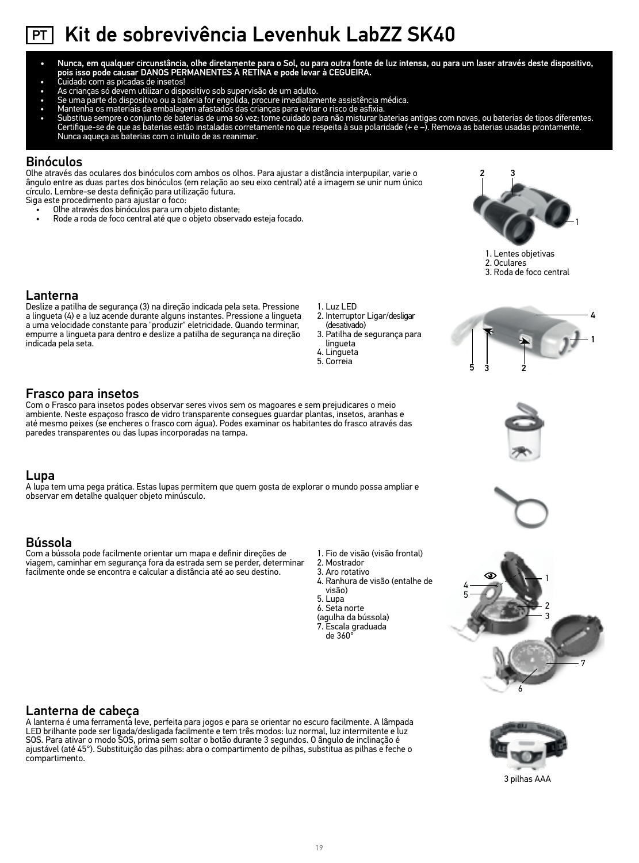# PT Kit de sobrevivência Levenhuk LabZZ SK40

- Nunca, em qualquer circunstância, olhe diretamente para o Sol, ou para outra fonte de luz intensa, ou para um laser através deste dispositivo, pois isso pode causar DANOS PERMANENTES À RETINA e pode levar à CEGUEIRA.
- Cuidado com as picadas de insetos!
- 
- 
- 
- As crianças só devem utilizar o dispositivo sob supervisão de um aduto.<br>• Se uma parte do dispositivo ou a bateria for engolida, procure imediatamente assistência médica.<br>• Mantenha os materiais da embalagem afastados da Nunca aqueça as baterias com o intuito de as reanimar.

### Binóculos

Olhe através das oculares dos binóculos com ambos os olhos. Para ajustar a distância interpupilar, varie o ângulo entre as duas partes dos binóculos (em relação ao seu eixo central) até a imagem se unir num único círculo. Lembre-se desta definição para utilização futura.

Siga este procedimento para ajustar o foco:

- Olhe através dos binóculos para um objeto distante;
- Rode a roda de foco central até que o objeto observado esteja focado. 1



1. Lentes objetivas

2. Oculares

3. Roda de foco central

### Lanterna

Deslize a patilha de segurança (3) na direção indicada pela seta. Pressione a lingueta (4) e a luz acende durante alguns instantes. Pressione a lingueta a uma velocidade constante para "produzir" eletricidade. Quando terminar, empurre a lingueta para dentro e deslize a patilha de segurança na direção indicada pela seta.

### Frasco para insetos

Com o Frasco para insetos podes observar seres vivos sem os magoares e sem prejudicares o meio ambiente. Neste espaçoso frasco de vidro transparente consegues guardar plantas, insetos, aranhas e até mesmo peixes (se encheres o frasco com água). Podes examinar os habitantes do frasco através das paredes transparentes ou das lupas incorporadas na tampa.

### Lupa

A lupa tem uma pega prática. Estas lupas permitem que quem gosta de explorar o mundo possa ampliar e observar em detalhe qualquer objeto minúsculo.

### Bússola

Com a bússola pode facilmente orientar um mapa e definir direções de viagem, caminhar em segurança fora da estrada sem se perder, determinar facilmente onde se encontra e calcular a distância até ao seu destino.

- 1. Luz LED
- 2. Interruptor Ligar/desligar (desativado)
- 3. Patilha de segurança para lingueta 4. Lingueta

1. Fio de visão (visão frontal)

4. Ranhura de visão (entalhe de

2. Mostrador 3. Aro rotativo

visão) 5. Lupa 6. Seta norte (agulha da bússola) 7. Escala graduada de 360°

5. Correia









### Lanterna de cabeça

A lanterna é uma ferramenta leve, perfeita para jogos e para se orientar no escuro facilmente. A lâmpada LED brilhante pode ser ligada/desligada facilmente e tem três modos: luz normal, luz intermitente e luz SOS. Para ativar o modo SOS, prima sem soltar o botão durante 3 segundos. O ângulo de inclinação é ajustável (até 45°). Substituição das pilhas: abra o compartimento de pilhas, substitua as pilhas e feche o compartimento.



3 pilhas AAA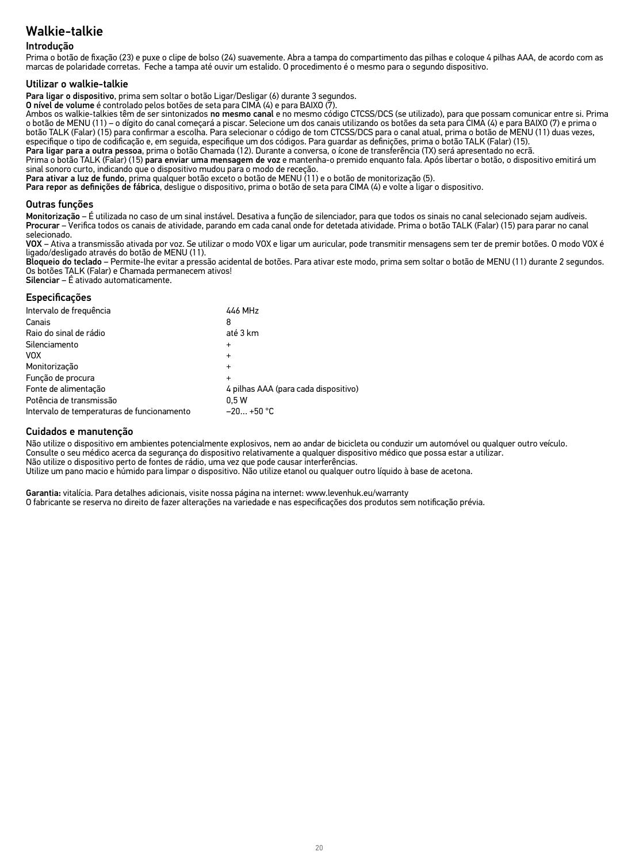### Introdução

Prima o botão de fixação (23) e puxe o clipe de bolso (24) suavemente. Abra a tampa do compartimento das pilhas e coloque 4 pilhas AAA, de acordo com as marcas de polaridade corretas. Feche a tampa até ouvir um estalido. O procedimento é o mesmo para o segundo dispositivo.

### Utilizar o walkie-talkie

Para ligar o dispositivo, prima sem soltar o botão Ligar/Desligar (6) durante 3 segundos.

O nível de volume é controlado pelos botões de seta para CIMA (4) e para BAIXO (7).

Ambos os walkie-talkies têm de ser sintonizados no mesmo canal e no mesmo código CTCSS/DCS (se utilizado), para que possam comunicar entre si. Prima o botão de MENU (11) – o dígito do canal começará a piscar. Selecione um dos canais utilizando os botões da seta para CIMA (4) e para BAIXO (7) e prima o botão TALK (Falar) (15) para confirmar a escolha. Para selecionar o código de tom CTCSS/DCS para o canal atual, prima o botão de MENU (11) duas vezes,<br>especifique o tipo de codificação e, em seguida, especifique um dos cód

Para ligar para a outra pessoa, prima o botão Chamada (12). Durante a conversa, o ícone de transferência (TX) será apresentado no ecrã. Prima o botão TALK (Falar) (15) para enviar uma mensagem de voz e mantenha-o premido enquanto fala. Após libertar o botão, o dispositivo emitirá um sinal sonoro curto, indicando que o dispositivo mudou para o modo de receção.

Para ativar a luz de fundo, prima qualquer botão exceto o botão de MENU (11) e o botão de monitorização (5).

Para repor as definições de fábrica, desligue o dispositivo, prima o botão de seta para CIMA (4) e volte a ligar o dispositivo.

### Outras funções

Monitorização – É utilizada no caso de um sinal instável. Desativa a função de silenciador, para que todos os sinais no canal selecionado sejam audíveis. Procurar – Verifica todos os canais de atividade, parando em cada canal onde for detetada atividade. Prima o botão TALK (Falar) (15) para parar no canal selecionado.

VOX – Ativa a transmissão ativada por voz. Se utilizar o modo VOX e ligar um auricular, pode transmitir mensagens sem ter de premir botões. O modo VOX é ligado/desligado através do botão de MENU (11).

Bloqueio do teclado – Permite-lhe evitar a pressão acidental de botões. Para ativar este modo, prima sem soltar o botão de MENU (11) durante 2 segundos. Os botões TALK (Falar) e Chamada permanecem ativos!

Silenciar – É ativado automaticamente.

### Especificações

| Intervalo de frequência                    | 446 MHz                              |
|--------------------------------------------|--------------------------------------|
| Canais                                     | 8                                    |
| Raio do sinal de rádio                     | até 3 km                             |
| Silenciamento                              | $\ddot{}$                            |
| <b>VOX</b>                                 | $\ddot{}$                            |
| Monitorização                              | $\ddot{}$                            |
| Função de procura                          | $\ddot{}$                            |
| Fonte de alimentação                       | 4 pilhas AAA (para cada dispositivo) |
| Potência de transmissão                    | 0.5W                                 |
| Intervalo de temperaturas de funcionamento | $-20 +50 °C$                         |

### Cuidados e manutenção

Não utilize o dispositivo em ambientes potencialmente explosivos, nem ao andar de bicicleta ou conduzir um automóvel ou qualquer outro veículo. Consulte o seu médico acerca da segurança do dispositivo relativamente a qualquer dispositivo médico que possa estar a utilizar. Não utilize o dispositivo perto de fontes de rádio, uma vez que pode causar interferências. Utilize um pano macio e húmido para limpar o dispositivo. Não utilize etanol ou qualquer outro líquido à base de acetona.

Garantia: vitalícia. Para detalhes adicionais, visite nossa página na internet: www.levenhuk.eu/warranty O fabricante se reserva no direito de fazer alterações na variedade e nas especificações dos produtos sem notificação prévia.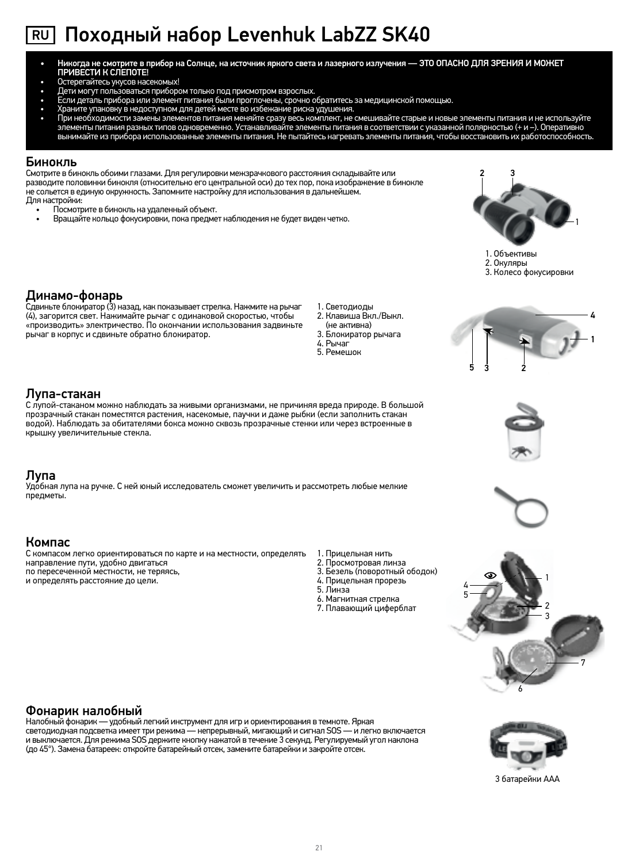# RU Походный набор Levenhuk LabZZ SK40

- Никогда не смотрите в прибор на Солнце, на источник яркого света и лазерного излучения ЭТО ОПАСНО ДЛЯ ЗРЕНИЯ И МОЖЕТ ПРИВЕСТИ К СЛЕПОТЕ!
- 
- 
- Остерегайтесь укусов насекомых!<br>• Дети могут пользоваться прибором только под присмотром взрослых.<br>• Если деталь прибора или элемент питания были проглочены, срочно обратитесь за медицинской помощью.
- 
- Храните упаковку в недоступном для детей месте во избежание риска удушения.<br>• При необходимости замены элементов питания меняйте сразу весь комплект, не смешивайте старые и новые элементы питания и не использу

### Бинокль

Смотрите в бинокль обоими глазами. Для регулировки межзрачкового расстояния складывайте или разводите половинки бинокля (относительно его центральной оси) до тех пор, пока изображение в бинокле не сольется в единую окружность. Запомните настройку для использования в дальнейшем. Для настройки:

- Посмотрите в бинокль на удаленный объект.
- Вращайте кольцо фокусировки, пока предмет наблюдения не будет виден четко. 1



1. Объективы

- 2. Окуляры
- 3. Колесо фокусировки

1

4

Динамо-фонарь Сдвиньте блокиратор (3) назад, как показывает стрелка. Нажмите на рычаг (4), загорится свет. Нажимайте рычаг с одинаковой скоростью, чтобы «производить» электричество. По окончании использования задвиньте рычаг в корпус и сдвиньте обратно блокиратор.

- 1. Светодиоды
	- 2. Клавиша Вкл./Выкл. (не активна)
- 3. Блокиратор рычага
- 4. Рычаг
- 5. Ремешок



### Лупа-стакан

С лупой-стаканом можно наблюдать за живыми организмами, не причиняя вреда природе. В большой прозрачный стакан поместятся растения, насекомые, паучки и даже рыбки (если заполнить стакан водой). Наблюдать за обитателями бокса можно сквозь прозрачные стенки или через встроенные в крышку увеличительные стекла.

### Лупа

Удобная лупа на ручке. С ней юный исследователь сможет увеличить и рассмотреть любые мелкие предметы.

### Компас

С компасом легко ориентироваться по карте и на местности, определять направление пути, удобно двигаться по пересеченной местности, не теряясь, и определять расстояние до цели.

- 1. Прицельная нить
- 2. Просмотровая линза
- 3. Безель (поворотный ободок)
- 4. Прицельная прорезь 5. Линза
- 
- 6. Магнитная стрелка 7. Плавающий циферблат
- 7 6 1 2 4 3 5

### Фонарик налобный

Налобный фонарик — удобный легкий инструмент для игр и ориентирования в темноте. Яркая светодиодная подсветка имеет три режима — непрерывный, мигающий и сигнал SOS — и легко включается<br>и выключается. Для режима SOS держите кнопку нажатой в течение 3 секунд. Регулируемый угол наклона (до 45°). Замена батареек: откройте батарейный отсек, замените батарейки и закройте отсек.



3 батарейки AAА





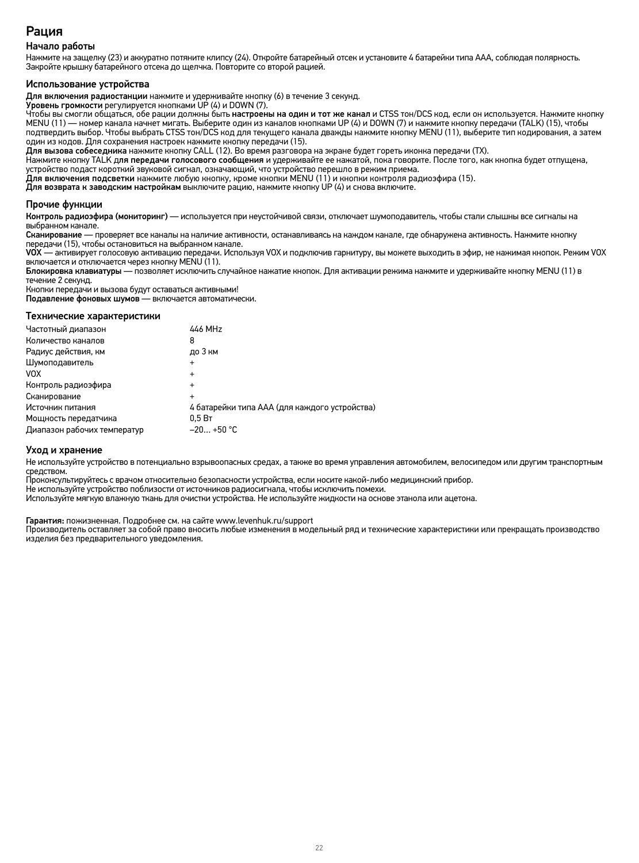## Рация

### Начало работы

Нажмите на защелку (23) и аккуратно потяните клипсу (24). Откройте батарейный отсек и установите 4 батарейки типа ААА, соблюдая полярность. Закройте крышку батарейного отсека до щелчка. Повторите со второй рацией.

### Использование устройства

Для включения радиостанции нажмите и удерживайте кнопку (6) в течение 3 секунд.

Уровень громкости регулируется кнопками UP (4) и DOWN (7).

Чтобы вы смогли общаться, обе рации должны быть настроены на один и тот же канал и CTSS тон/DCS код, если он используется. Нажмите кнопку MENU (11) — номер канала начнет мигать. Выберите один из каналов кнопками UP (4) и DOWN (7) и нажмите кнопку передачи (TALK) (15), чтобы подтвердить выбор. Чтобы выбрать CTSS тон/DCS код для текущего канала дважды нажмите кнопку MENU (11), выберите тип кодирования, а затем один из кодов. Для сохранения настроек нажмите кнопку передачи (15).

**Для вызова собеседника** нажмите кнопку CALL (12). Во время разговора на экране будет гореть иконка передачи (TX).<br>Нажмите кнопку TALK д**ля передачи голосового сообщения** и удерживайте ее нажатой, пока говорите. После тог устройство подаст короткий звуковой сигнал, означающий, что устройство перешло в режим приема.

Для включения подсветки нажмите любую кнопку, кроме кнопки MENU (11) и кнопки контроля радиоэфира (15).

Для возврата к заводским настройкам выключите рацию, нажмите кнопку UP (4) и снова включите.

### Прочие функции

Контроль радиоэфира (мониторинг) — используется при неустойчивой связи, отключает шумоподавитель, чтобы стали слышны все сигналы на выбранном канале.

Сканирование — проверяет все каналы на наличие активности, останавливаясь на каждом канале, где обнаружена активность. Нажмите кнопку передачи (15), чтобы остановиться на выбранном канале.

VOX — активирует голосовую активацию передачи. Используя VOX и подключив гарнитуру, вы можете выходить в эфир, не нажимая кнопок. Режим VOX включается и отключается через кнопку MENU (11).

Блокировка клавиатуры — позволяет исключить случайное нажатие кнопок. Для активации режима нажмите и удерживайте кнопку MENU (11) в течение 2 секунд.

Кнопки передачи и вызова будут оставаться активными!

Подавление фоновых шумов — включается автоматически.

### Технические характеристики

| Частотный диапазон          | 446 MHz                                       |
|-----------------------------|-----------------------------------------------|
| Количество каналов          | 8                                             |
| Радиус действия, км         | до 3 км                                       |
| Шумоподавитель              | $\ddot{}$                                     |
| <b>VOX</b>                  | $\ddot{}$                                     |
| Контроль радиоэфира         | $\ddot{}$                                     |
| Сканирование                |                                               |
| Источник питания            | 4 батарейки типа ААА (для каждого устройства) |
| Мощность передатчика        | 0.5B                                          |
| Диапазон рабочих температур | $-20+50 °C$                                   |

### Уход и хранение

Не используйте устройство в потенциально взрывоопасных средах, а также во время управления автомобилем, велосипедом или другим транспортным<br>средством.

Проконсультируйтесь с врачом относительно безопасности устройства, если носите какой-либо медицинский прибор.

Не используйте устройство поблизости от источников радиосигнала, чтобы исключить помехи.

Используйте мягкую влажную ткань для очистки устройства. Не используйте жидкости на основе этанола или ацетона.

Гарантия: пожизненная. Подробнее см. на сайте www.levenhuk.ru/support

Производитель оставляет за собой право вносить любые изменения в модельный ряд и технические характеристики или прекращать производство изделия без предварительного уведомления.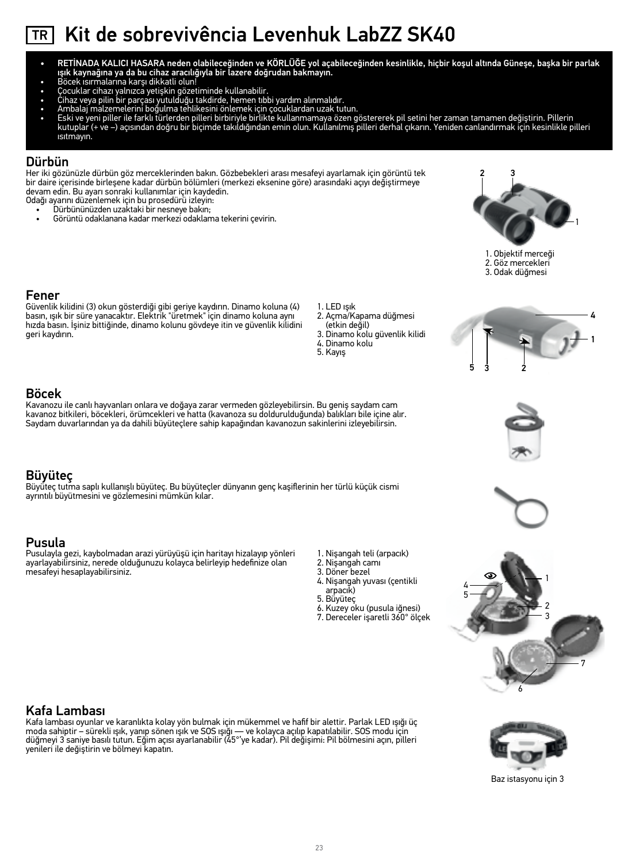# TR Kit de sobrevivência Levenhuk LabZZ SK40

- RETİNADA KALICI HASARA neden olabileceğinden ve KÖRLÜĞE yol açabileceğinden kesinlikle, hiçbir koşul altında Güneşe, başka bir parlak ışık kaynağına ya da bu cihaz aracılığıyla bir lazere doğrudan bakmayın.
- Böcek ısırmalarına karşı dikkatli olun!
- Çocuklar cihazı yalnızca yetişkin gözetiminde kullanabilir.
- 
- 
- Cihaz veya pilin bir parçası yutulduğu takdirde, hemen tıbbi yardım alınmalıdır.<br>• Ambalaj malzemelerini boğulma tehlikesini önlemek için çocuklardan uzak tutun.<br>• Eski ve yeni piller ile farklı türlerden ısıtmayın.

### Dürbün

Her iki gözünüzle dürbün göz merceklerinden bakın. Gözbebekleri arası mesafeyi ayarlamak için görüntü tek bir daire içerisinde birleşene kadar dürbün bölümleri (merkezi eksenine göre) arasındaki açıyı değiştirmeye devam edin. Bu ayarı sonraki kullanımlar için kaydedin.

- Odağı ayarını düzenlemek için bu prosedürü izleyin:
	- Dürbününüzden uzaktaki bir nesneye bakın; • Görüntü odaklanana kadar merkezi odaklama tekerini çevirin. 1



1. Objektif merceği 2. Göz mercekleri 3. Odak düğmesi

### Fener

Böcek

Güvenlik kilidini (3) okun gösterdiği gibi geriye kaydırın. Dinamo koluna (4) basın, ışık bir süre yanacaktır. Elektrik "üretmek" için dinamo koluna aynı hızda basın. İşiniz bittiğinde, dinamo kolunu gövdeye itin ve güvenlik kilidini geri kaydırın.

- 1. LED ışık
	- 2. Açma/Kapama düğmesi (etkin değil)
	- 3. Dinamo kolu güvenlik kilidi
	- 4. Dinamo kolu
	- 5. Kayış









Kafa Lambası Kafa lambası oyunlar ve karanlıkta kolay yön bulmak için mükemmel ve hafif bir alettir. Parlak LED ışığı üç moda sahiptir – sürekli ışık, yanıp sönen ışık ve SOS ışığı — ve kolayca açılıp kapatılabilir. SOS modu için düğmeyi 3 saniye basılı tutun. Eğim açısı ayarlanabilir (45°'ye kadar). Pil değişimi: Pil bölmesini açın, pilleri yenileri ile değiştirin ve bölmeyi kapatın.



Baz istasyonu için 3



Kavanozu ile canlı hayvanları onlara ve doğaya zarar vermeden gözleyebilirsin. Bu geniş saydam cam kavanoz bitkileri, böcekleri, örümcekleri ve hatta (kavanoza su doldurulduğunda) balıkları bile içine alır. Saydam duvarlarından ya da dahili büyüteçlere sahip kapağından kavanozun sakinlerini izleyebilirsin.

### Büyüteç

Büyüteç tutma saplı kullanışlı büyüteç. Bu büyüteçler dünyanın genç kaşiflerinin her türlü küçük cismi ayrıntılı büyütmesini ve gözlemesini mümkün kılar.

### Pusula

Pusulayla gezi, kaybolmadan arazi yürüyüşü için haritayı hizalayıp yönleri ayarlayabilirsiniz, nerede olduğunuzu kolayca belirleyip hedefinize olan mesafeyi hesaplayabilirsiniz.

- 1. Nişangah teli (arpacık)
- 2. Nişangah camı
- 3. Döner bezel 4. Nişangah yuvası (çentikli
- arpacık)
- 5. Büyüteç
- 6. Kuzey oku (pusula iğnesi)
- 7. Dereceler işaretli 360° ölçek